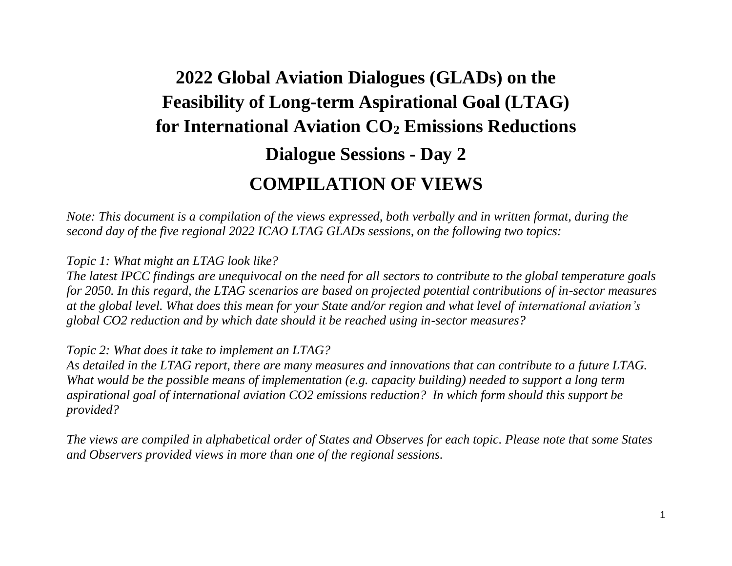## **2022 Global Aviation Dialogues (GLADs) on the Feasibility of Long-term Aspirational Goal (LTAG) for International Aviation CO<sup>2</sup> Emissions Reductions Dialogue Sessions - Day 2 COMPILATION OF VIEWS**

*Note: This document is a compilation of the views expressed, both verbally and in written format, during the second day of the five regional 2022 ICAO LTAG GLADs sessions, on the following two topics:*

*Topic 1: What might an LTAG look like?*

*The latest IPCC findings are unequivocal on the need for all sectors to contribute to the global temperature goals for 2050. In this regard, the LTAG scenarios are based on projected potential contributions of in-sector measures at the global level. What does this mean for your State and/or region and what level of international aviation's global CO2 reduction and by which date should it be reached using in-sector measures?*

*Topic 2: What does it take to implement an LTAG?*

*As detailed in the LTAG report, there are many measures and innovations that can contribute to a future LTAG. What would be the possible means of implementation (e.g. capacity building) needed to support a long term aspirational goal of international aviation CO2 emissions reduction? In which form should this support be provided?*

*The views are compiled in alphabetical order of States and Observes for each topic. Please note that some States and Observers provided views in more than one of the regional sessions.*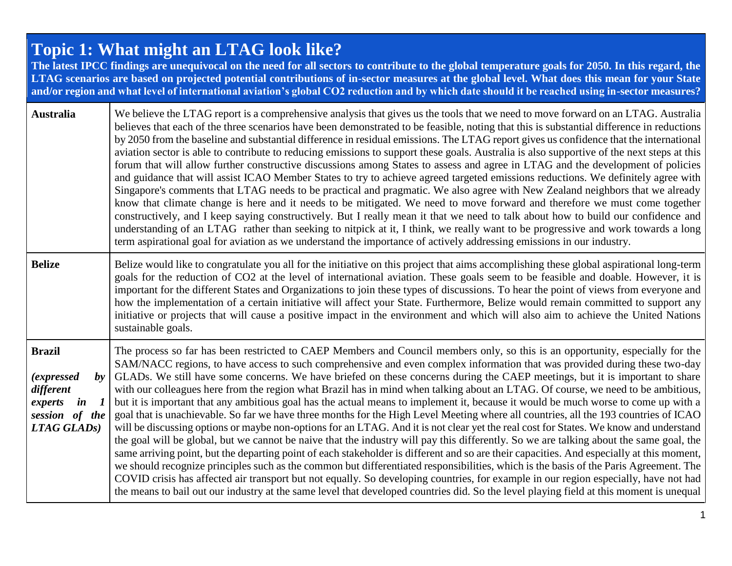## **Topic 1: What might an LTAG look like?**

**The latest IPCC findings are unequivocal on the need for all sectors to contribute to the global temperature goals for 2050. In this regard, the LTAG scenarios are based on projected potential contributions of in-sector measures at the global level. What does this mean for your State and/or region and what level of international aviation's global CO2 reduction and by which date should it be reached using in-sector measures?**

| Australia                                                                                                                                           | We believe the LTAG report is a comprehensive analysis that gives us the tools that we need to move forward on an LTAG. Australia<br>believes that each of the three scenarios have been demonstrated to be feasible, noting that this is substantial difference in reductions<br>by 2050 from the baseline and substantial difference in residual emissions. The LTAG report gives us confidence that the international<br>aviation sector is able to contribute to reducing emissions to support these goals. Australia is also supportive of the next steps at this<br>forum that will allow further constructive discussions among States to assess and agree in LTAG and the development of policies<br>and guidance that will assist ICAO Member States to try to achieve agreed targeted emissions reductions. We definitely agree with<br>Singapore's comments that LTAG needs to be practical and pragmatic. We also agree with New Zealand neighbors that we already<br>know that climate change is here and it needs to be mitigated. We need to move forward and therefore we must come together<br>constructively, and I keep saying constructively. But I really mean it that we need to talk about how to build our confidence and<br>understanding of an LTAG rather than seeking to nitpick at it, I think, we really want to be progressive and work towards a long<br>term aspirational goal for aviation as we understand the importance of actively addressing emissions in our industry.                                                                                                                                                              |
|-----------------------------------------------------------------------------------------------------------------------------------------------------|-----------------------------------------------------------------------------------------------------------------------------------------------------------------------------------------------------------------------------------------------------------------------------------------------------------------------------------------------------------------------------------------------------------------------------------------------------------------------------------------------------------------------------------------------------------------------------------------------------------------------------------------------------------------------------------------------------------------------------------------------------------------------------------------------------------------------------------------------------------------------------------------------------------------------------------------------------------------------------------------------------------------------------------------------------------------------------------------------------------------------------------------------------------------------------------------------------------------------------------------------------------------------------------------------------------------------------------------------------------------------------------------------------------------------------------------------------------------------------------------------------------------------------------------------------------------------------------------------------------------------------------------------------------------------------|
| <b>Belize</b>                                                                                                                                       | Belize would like to congratulate you all for the initiative on this project that aims accomplishing these global aspirational long-term<br>goals for the reduction of CO2 at the level of international aviation. These goals seem to be feasible and doable. However, it is<br>important for the different States and Organizations to join these types of discussions. To hear the point of views from everyone and<br>how the implementation of a certain initiative will affect your State. Furthermore, Belize would remain committed to support any<br>initiative or projects that will cause a positive impact in the environment and which will also aim to achieve the United Nations<br>sustainable goals.                                                                                                                                                                                                                                                                                                                                                                                                                                                                                                                                                                                                                                                                                                                                                                                                                                                                                                                                                       |
| <b>Brazil</b><br><i>(expressed)</i><br>$\bm{b}$ v<br>different<br>$\mathbf{i}$ n<br>$\boldsymbol{l}$<br>experts<br>session of the<br>$LTAG GLADs$ ) | The process so far has been restricted to CAEP Members and Council members only, so this is an opportunity, especially for the<br>SAM/NACC regions, to have access to such comprehensive and even complex information that was provided during these two-day<br>GLADs. We still have some concerns. We have briefed on these concerns during the CAEP meetings, but it is important to share<br>with our colleagues here from the region what Brazil has in mind when talking about an LTAG. Of course, we need to be ambitious,<br>but it is important that any ambitious goal has the actual means to implement it, because it would be much worse to come up with a<br>goal that is unachievable. So far we have three months for the High Level Meeting where all countries, all the 193 countries of ICAO<br>will be discussing options or maybe non-options for an LTAG. And it is not clear yet the real cost for States. We know and understand<br>the goal will be global, but we cannot be naive that the industry will pay this differently. So we are talking about the same goal, the<br>same arriving point, but the departing point of each stakeholder is different and so are their capacities. And especially at this moment,<br>we should recognize principles such as the common but differentiated responsibilities, which is the basis of the Paris Agreement. The<br>COVID crisis has affected air transport but not equally. So developing countries, for example in our region especially, have not had<br>the means to bail out our industry at the same level that developed countries did. So the level playing field at this moment is unequal |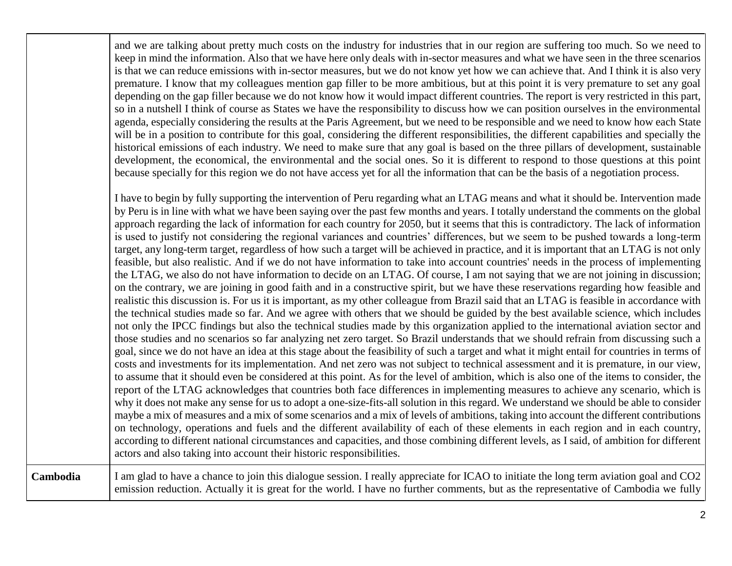|          | and we are talking about pretty much costs on the industry for industries that in our region are suffering too much. So we need to<br>keep in mind the information. Also that we have here only deals with in-sector measures and what we have seen in the three scenarios<br>is that we can reduce emissions with in-sector measures, but we do not know yet how we can achieve that. And I think it is also very<br>premature. I know that my colleagues mention gap filler to be more ambitious, but at this point it is very premature to set any goal<br>depending on the gap filler because we do not know how it would impact different countries. The report is very restricted in this part,<br>so in a nutshell I think of course as States we have the responsibility to discuss how we can position ourselves in the environmental<br>agenda, especially considering the results at the Paris Agreement, but we need to be responsible and we need to know how each State<br>will be in a position to contribute for this goal, considering the different responsibilities, the different capabilities and specially the<br>historical emissions of each industry. We need to make sure that any goal is based on the three pillars of development, sustainable<br>development, the economical, the environmental and the social ones. So it is different to respond to those questions at this point<br>because specially for this region we do not have access yet for all the information that can be the basis of a negotiation process.                                                                                                                                                                                                                                                                                                                                                                                                                                                                                                                                                                                                                                                                                                                                                                                                                                                                                                                                                                                                                                                                                                                                                                                                                                                                                                                                                        |
|----------|-----------------------------------------------------------------------------------------------------------------------------------------------------------------------------------------------------------------------------------------------------------------------------------------------------------------------------------------------------------------------------------------------------------------------------------------------------------------------------------------------------------------------------------------------------------------------------------------------------------------------------------------------------------------------------------------------------------------------------------------------------------------------------------------------------------------------------------------------------------------------------------------------------------------------------------------------------------------------------------------------------------------------------------------------------------------------------------------------------------------------------------------------------------------------------------------------------------------------------------------------------------------------------------------------------------------------------------------------------------------------------------------------------------------------------------------------------------------------------------------------------------------------------------------------------------------------------------------------------------------------------------------------------------------------------------------------------------------------------------------------------------------------------------------------------------------------------------------------------------------------------------------------------------------------------------------------------------------------------------------------------------------------------------------------------------------------------------------------------------------------------------------------------------------------------------------------------------------------------------------------------------------------------------------------------------------------------------------------------------------------------------------------------------------------------------------------------------------------------------------------------------------------------------------------------------------------------------------------------------------------------------------------------------------------------------------------------------------------------------------------------------------------------------------------------------------------------------------------------------------------------------------------------------------|
|          | I have to begin by fully supporting the intervention of Peru regarding what an LTAG means and what it should be. Intervention made<br>by Peru is in line with what we have been saying over the past few months and years. I totally understand the comments on the global<br>approach regarding the lack of information for each country for 2050, but it seems that this is contradictory. The lack of information<br>is used to justify not considering the regional variances and countries' differences, but we seem to be pushed towards a long-term<br>target, any long-term target, regardless of how such a target will be achieved in practice, and it is important that an LTAG is not only<br>feasible, but also realistic. And if we do not have information to take into account countries' needs in the process of implementing<br>the LTAG, we also do not have information to decide on an LTAG. Of course, I am not saying that we are not joining in discussion;<br>on the contrary, we are joining in good faith and in a constructive spirit, but we have these reservations regarding how feasible and<br>realistic this discussion is. For us it is important, as my other colleague from Brazil said that an LTAG is feasible in accordance with<br>the technical studies made so far. And we agree with others that we should be guided by the best available science, which includes<br>not only the IPCC findings but also the technical studies made by this organization applied to the international aviation sector and<br>those studies and no scenarios so far analyzing net zero target. So Brazil understands that we should refrain from discussing such a<br>goal, since we do not have an idea at this stage about the feasibility of such a target and what it might entail for countries in terms of<br>costs and investments for its implementation. And net zero was not subject to technical assessment and it is premature, in our view,<br>to assume that it should even be considered at this point. As for the level of ambition, which is also one of the items to consider, the<br>report of the LTAG acknowledges that countries both face differences in implementing measures to achieve any scenario, which is<br>why it does not make any sense for us to adopt a one-size-fits-all solution in this regard. We understand we should be able to consider<br>maybe a mix of measures and a mix of some scenarios and a mix of levels of ambitions, taking into account the different contributions<br>on technology, operations and fuels and the different availability of each of these elements in each region and in each country,<br>according to different national circumstances and capacities, and those combining different levels, as I said, of ambition for different<br>actors and also taking into account their historic responsibilities. |
| Cambodia | I am glad to have a chance to join this dialogue session. I really appreciate for ICAO to initiate the long term aviation goal and CO2<br>emission reduction. Actually it is great for the world. I have no further comments, but as the representative of Cambodia we fully                                                                                                                                                                                                                                                                                                                                                                                                                                                                                                                                                                                                                                                                                                                                                                                                                                                                                                                                                                                                                                                                                                                                                                                                                                                                                                                                                                                                                                                                                                                                                                                                                                                                                                                                                                                                                                                                                                                                                                                                                                                                                                                                                                                                                                                                                                                                                                                                                                                                                                                                                                                                                                    |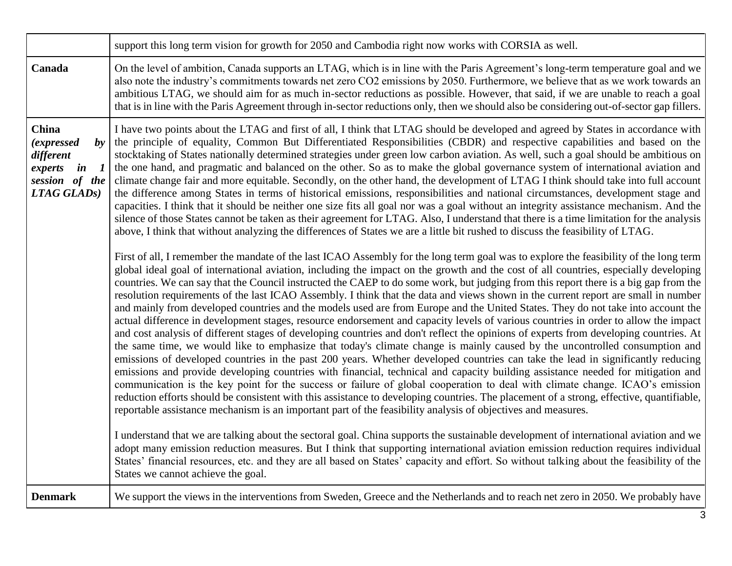|                                                                                                                                             | support this long term vision for growth for 2050 and Cambodia right now works with CORSIA as well.                                                                                                                                                                                                                                                                                                                                                                                                                                                                                                                                                                                                                                                                                                                                                                                                                                                                                                                                                                                                                                                                                                                                                                                                                                                                                                                                                                                                                                                                                                                                                                                                                                                                                                                                                                                                                                                                                                                                                                                                                                                                                                                                                                                                                                                                                                                                                                                                                                                                                                                                                                                                                                                                                                                                                                                                                                                                                                                                                                                                                                                                                                                                                                                                                                                                                                                                                                                          |
|---------------------------------------------------------------------------------------------------------------------------------------------|----------------------------------------------------------------------------------------------------------------------------------------------------------------------------------------------------------------------------------------------------------------------------------------------------------------------------------------------------------------------------------------------------------------------------------------------------------------------------------------------------------------------------------------------------------------------------------------------------------------------------------------------------------------------------------------------------------------------------------------------------------------------------------------------------------------------------------------------------------------------------------------------------------------------------------------------------------------------------------------------------------------------------------------------------------------------------------------------------------------------------------------------------------------------------------------------------------------------------------------------------------------------------------------------------------------------------------------------------------------------------------------------------------------------------------------------------------------------------------------------------------------------------------------------------------------------------------------------------------------------------------------------------------------------------------------------------------------------------------------------------------------------------------------------------------------------------------------------------------------------------------------------------------------------------------------------------------------------------------------------------------------------------------------------------------------------------------------------------------------------------------------------------------------------------------------------------------------------------------------------------------------------------------------------------------------------------------------------------------------------------------------------------------------------------------------------------------------------------------------------------------------------------------------------------------------------------------------------------------------------------------------------------------------------------------------------------------------------------------------------------------------------------------------------------------------------------------------------------------------------------------------------------------------------------------------------------------------------------------------------------------------------------------------------------------------------------------------------------------------------------------------------------------------------------------------------------------------------------------------------------------------------------------------------------------------------------------------------------------------------------------------------------------------------------------------------------------------------------------------------|
| Canada                                                                                                                                      | On the level of ambition, Canada supports an LTAG, which is in line with the Paris Agreement's long-term temperature goal and we<br>also note the industry's commitments towards net zero CO2 emissions by 2050. Furthermore, we believe that as we work towards an<br>ambitious LTAG, we should aim for as much in-sector reductions as possible. However, that said, if we are unable to reach a goal<br>that is in line with the Paris Agreement through in-sector reductions only, then we should also be considering out-of-sector gap fillers.                                                                                                                                                                                                                                                                                                                                                                                                                                                                                                                                                                                                                                                                                                                                                                                                                                                                                                                                                                                                                                                                                                                                                                                                                                                                                                                                                                                                                                                                                                                                                                                                                                                                                                                                                                                                                                                                                                                                                                                                                                                                                                                                                                                                                                                                                                                                                                                                                                                                                                                                                                                                                                                                                                                                                                                                                                                                                                                                         |
| <b>China</b><br>$\boldsymbol{b}$ y<br><i>(expressed)</i><br>different<br>experts<br>in<br>$\boldsymbol{l}$<br>session of the<br>LTAG GLADS) | I have two points about the LTAG and first of all, I think that LTAG should be developed and agreed by States in accordance with<br>the principle of equality, Common But Differentiated Responsibilities (CBDR) and respective capabilities and based on the<br>stocktaking of States nationally determined strategies under green low carbon aviation. As well, such a goal should be ambitious on<br>the one hand, and pragmatic and balanced on the other. So as to make the global governance system of international aviation and<br>climate change fair and more equitable. Secondly, on the other hand, the development of LTAG I think should take into full account<br>the difference among States in terms of historical emissions, responsibilities and national circumstances, development stage and<br>capacities. I think that it should be neither one size fits all goal nor was a goal without an integrity assistance mechanism. And the<br>silence of those States cannot be taken as their agreement for LTAG. Also, I understand that there is a time limitation for the analysis<br>above, I think that without analyzing the differences of States we are a little bit rushed to discuss the feasibility of LTAG.<br>First of all, I remember the mandate of the last ICAO Assembly for the long term goal was to explore the feasibility of the long term<br>global ideal goal of international aviation, including the impact on the growth and the cost of all countries, especially developing<br>countries. We can say that the Council instructed the CAEP to do some work, but judging from this report there is a big gap from the<br>resolution requirements of the last ICAO Assembly. I think that the data and views shown in the current report are small in number<br>and mainly from developed countries and the models used are from Europe and the United States. They do not take into account the<br>actual difference in development stages, resource endorsement and capacity levels of various countries in order to allow the impact<br>and cost analysis of different stages of developing countries and don't reflect the opinions of experts from developing countries. At<br>the same time, we would like to emphasize that today's climate change is mainly caused by the uncontrolled consumption and<br>emissions of developed countries in the past 200 years. Whether developed countries can take the lead in significantly reducing<br>emissions and provide developing countries with financial, technical and capacity building assistance needed for mitigation and<br>communication is the key point for the success or failure of global cooperation to deal with climate change. ICAO's emission<br>reduction efforts should be consistent with this assistance to developing countries. The placement of a strong, effective, quantifiable,<br>reportable assistance mechanism is an important part of the feasibility analysis of objectives and measures.<br>I understand that we are talking about the sectoral goal. China supports the sustainable development of international aviation and we<br>adopt many emission reduction measures. But I think that supporting international aviation emission reduction requires individual<br>States' financial resources, etc. and they are all based on States' capacity and effort. So without talking about the feasibility of the<br>States we cannot achieve the goal. |
| <b>Denmark</b>                                                                                                                              | We support the views in the interventions from Sweden, Greece and the Netherlands and to reach net zero in 2050. We probably have                                                                                                                                                                                                                                                                                                                                                                                                                                                                                                                                                                                                                                                                                                                                                                                                                                                                                                                                                                                                                                                                                                                                                                                                                                                                                                                                                                                                                                                                                                                                                                                                                                                                                                                                                                                                                                                                                                                                                                                                                                                                                                                                                                                                                                                                                                                                                                                                                                                                                                                                                                                                                                                                                                                                                                                                                                                                                                                                                                                                                                                                                                                                                                                                                                                                                                                                                            |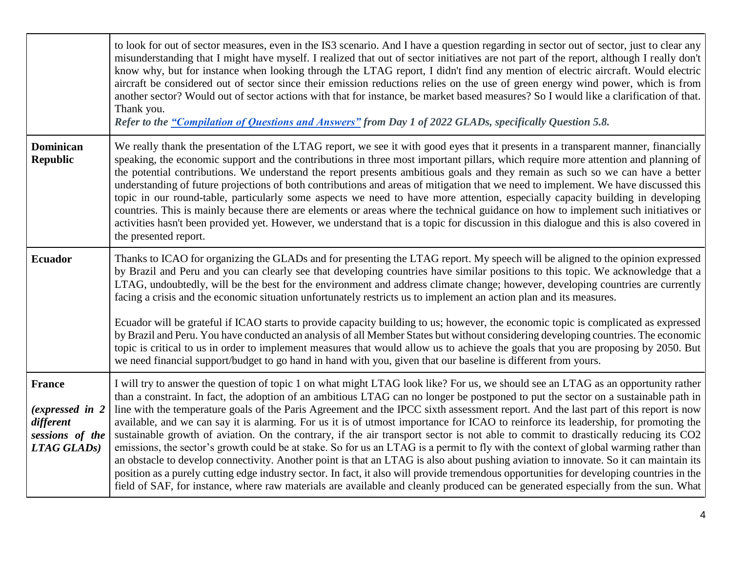|                                                                                  | to look for out of sector measures, even in the IS3 scenario. And I have a question regarding in sector out of sector, just to clear any<br>misunderstanding that I might have myself. I realized that out of sector initiatives are not part of the report, although I really don't<br>know why, but for instance when looking through the LTAG report, I didn't find any mention of electric aircraft. Would electric<br>aircraft be considered out of sector since their emission reductions relies on the use of green energy wind power, which is from<br>another sector? Would out of sector actions with that for instance, be market based measures? So I would like a clarification of that.<br>Thank you.<br>Refer to the "Compilation of Questions and Answers" from Day 1 of 2022 GLADs, specifically Question 5.8.                                                                                                                                                                                                                                                                                                                                                                                                                                   |
|----------------------------------------------------------------------------------|-------------------------------------------------------------------------------------------------------------------------------------------------------------------------------------------------------------------------------------------------------------------------------------------------------------------------------------------------------------------------------------------------------------------------------------------------------------------------------------------------------------------------------------------------------------------------------------------------------------------------------------------------------------------------------------------------------------------------------------------------------------------------------------------------------------------------------------------------------------------------------------------------------------------------------------------------------------------------------------------------------------------------------------------------------------------------------------------------------------------------------------------------------------------------------------------------------------------------------------------------------------------|
| <b>Dominican</b><br><b>Republic</b>                                              | We really thank the presentation of the LTAG report, we see it with good eyes that it presents in a transparent manner, financially<br>speaking, the economic support and the contributions in three most important pillars, which require more attention and planning of<br>the potential contributions. We understand the report presents ambitious goals and they remain as such so we can have a better<br>understanding of future projections of both contributions and areas of mitigation that we need to implement. We have discussed this<br>topic in our round-table, particularly some aspects we need to have more attention, especially capacity building in developing<br>countries. This is mainly because there are elements or areas where the technical guidance on how to implement such initiatives or<br>activities hasn't been provided yet. However, we understand that is a topic for discussion in this dialogue and this is also covered in<br>the presented report.                                                                                                                                                                                                                                                                    |
| <b>Ecuador</b>                                                                   | Thanks to ICAO for organizing the GLADs and for presenting the LTAG report. My speech will be aligned to the opinion expressed<br>by Brazil and Peru and you can clearly see that developing countries have similar positions to this topic. We acknowledge that a<br>LTAG, undoubtedly, will be the best for the environment and address climate change; however, developing countries are currently<br>facing a crisis and the economic situation unfortunately restricts us to implement an action plan and its measures.<br>Ecuador will be grateful if ICAO starts to provide capacity building to us; however, the economic topic is complicated as expressed<br>by Brazil and Peru. You have conducted an analysis of all Member States but without considering developing countries. The economic<br>topic is critical to us in order to implement measures that would allow us to achieve the goals that you are proposing by 2050. But                                                                                                                                                                                                                                                                                                                  |
|                                                                                  | we need financial support/budget to go hand in hand with you, given that our baseline is different from yours.                                                                                                                                                                                                                                                                                                                                                                                                                                                                                                                                                                                                                                                                                                                                                                                                                                                                                                                                                                                                                                                                                                                                                    |
| <b>France</b><br>(expressed in 2)<br>different<br>sessions of the<br>LTAG GLADS) | I will try to answer the question of topic 1 on what might LTAG look like? For us, we should see an LTAG as an opportunity rather<br>than a constraint. In fact, the adoption of an ambitious LTAG can no longer be postponed to put the sector on a sustainable path in<br>line with the temperature goals of the Paris Agreement and the IPCC sixth assessment report. And the last part of this report is now<br>available, and we can say it is alarming. For us it is of utmost importance for ICAO to reinforce its leadership, for promoting the<br>sustainable growth of aviation. On the contrary, if the air transport sector is not able to commit to drastically reducing its CO2<br>emissions, the sector's growth could be at stake. So for us an LTAG is a permit to fly with the context of global warming rather than<br>an obstacle to develop connectivity. Another point is that an LTAG is also about pushing aviation to innovate. So it can maintain its<br>position as a purely cutting edge industry sector. In fact, it also will provide tremendous opportunities for developing countries in the<br>field of SAF, for instance, where raw materials are available and cleanly produced can be generated especially from the sun. What |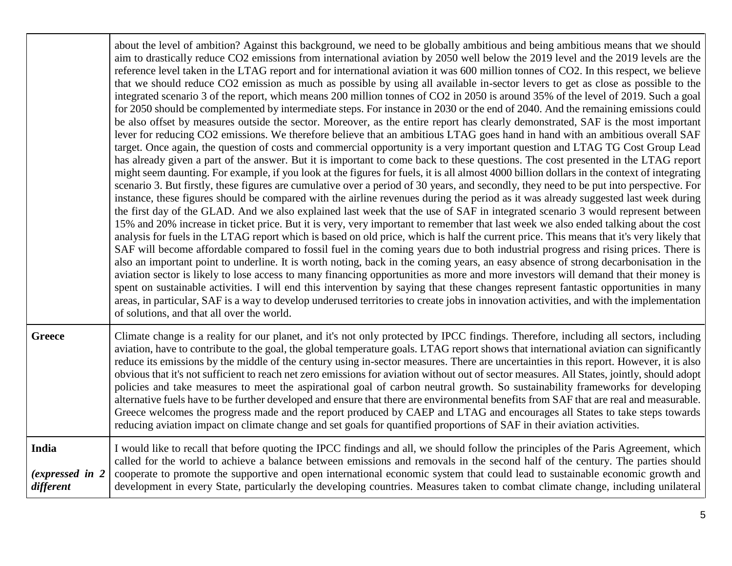|                                        | about the level of ambition? Against this background, we need to be globally ambitious and being ambitious means that we should<br>aim to drastically reduce CO2 emissions from international aviation by 2050 well below the 2019 level and the 2019 levels are the<br>reference level taken in the LTAG report and for international aviation it was 600 million tonnes of CO2. In this respect, we believe<br>that we should reduce CO2 emission as much as possible by using all available in-sector levers to get as close as possible to the<br>integrated scenario 3 of the report, which means 200 million tonnes of CO2 in 2050 is around 35% of the level of 2019. Such a goal<br>for 2050 should be complemented by intermediate steps. For instance in 2030 or the end of 2040. And the remaining emissions could<br>be also offset by measures outside the sector. Moreover, as the entire report has clearly demonstrated, SAF is the most important<br>lever for reducing CO2 emissions. We therefore believe that an ambitious LTAG goes hand in hand with an ambitious overall SAF<br>target. Once again, the question of costs and commercial opportunity is a very important question and LTAG TG Cost Group Lead<br>has already given a part of the answer. But it is important to come back to these questions. The cost presented in the LTAG report<br>might seem daunting. For example, if you look at the figures for fuels, it is all almost 4000 billion dollars in the context of integrating<br>scenario 3. But firstly, these figures are cumulative over a period of 30 years, and secondly, they need to be put into perspective. For<br>instance, these figures should be compared with the airline revenues during the period as it was already suggested last week during<br>the first day of the GLAD. And we also explained last week that the use of SAF in integrated scenario 3 would represent between<br>15% and 20% increase in ticket price. But it is very, very important to remember that last week we also ended talking about the cost<br>analysis for fuels in the LTAG report which is based on old price, which is half the current price. This means that it's very likely that<br>SAF will become affordable compared to fossil fuel in the coming years due to both industrial progress and rising prices. There is<br>also an important point to underline. It is worth noting, back in the coming years, an easy absence of strong decarbonisation in the<br>aviation sector is likely to lose access to many financing opportunities as more and more investors will demand that their money is<br>spent on sustainable activities. I will end this intervention by saying that these changes represent fantastic opportunities in many<br>areas, in particular, SAF is a way to develop underused territories to create jobs in innovation activities, and with the implementation<br>of solutions, and that all over the world. |
|----------------------------------------|---------------------------------------------------------------------------------------------------------------------------------------------------------------------------------------------------------------------------------------------------------------------------------------------------------------------------------------------------------------------------------------------------------------------------------------------------------------------------------------------------------------------------------------------------------------------------------------------------------------------------------------------------------------------------------------------------------------------------------------------------------------------------------------------------------------------------------------------------------------------------------------------------------------------------------------------------------------------------------------------------------------------------------------------------------------------------------------------------------------------------------------------------------------------------------------------------------------------------------------------------------------------------------------------------------------------------------------------------------------------------------------------------------------------------------------------------------------------------------------------------------------------------------------------------------------------------------------------------------------------------------------------------------------------------------------------------------------------------------------------------------------------------------------------------------------------------------------------------------------------------------------------------------------------------------------------------------------------------------------------------------------------------------------------------------------------------------------------------------------------------------------------------------------------------------------------------------------------------------------------------------------------------------------------------------------------------------------------------------------------------------------------------------------------------------------------------------------------------------------------------------------------------------------------------------------------------------------------------------------------------------------------------------------------------------------------------------------------------------------------------------------------------------------------------------------------------------------------------------------------------------------------------------------------------------------------------------------------------------------------|
| <b>Greece</b>                          | Climate change is a reality for our planet, and it's not only protected by IPCC findings. Therefore, including all sectors, including<br>aviation, have to contribute to the goal, the global temperature goals. LTAG report shows that international aviation can significantly<br>reduce its emissions by the middle of the century using in-sector measures. There are uncertainties in this report. However, it is also<br>obvious that it's not sufficient to reach net zero emissions for aviation without out of sector measures. All States, jointly, should adopt<br>policies and take measures to meet the aspirational goal of carbon neutral growth. So sustainability frameworks for developing<br>alternative fuels have to be further developed and ensure that there are environmental benefits from SAF that are real and measurable.<br>Greece welcomes the progress made and the report produced by CAEP and LTAG and encourages all States to take steps towards<br>reducing aviation impact on climate change and set goals for quantified proportions of SAF in their aviation activities.                                                                                                                                                                                                                                                                                                                                                                                                                                                                                                                                                                                                                                                                                                                                                                                                                                                                                                                                                                                                                                                                                                                                                                                                                                                                                                                                                                                                                                                                                                                                                                                                                                                                                                                                                                                                                                                                            |
| India<br>(expressed in 2)<br>different | I would like to recall that before quoting the IPCC findings and all, we should follow the principles of the Paris Agreement, which<br>called for the world to achieve a balance between emissions and removals in the second half of the century. The parties should<br>cooperate to promote the supportive and open international economic system that could lead to sustainable economic growth and<br>development in every State, particularly the developing countries. Measures taken to combat climate change, including unilateral                                                                                                                                                                                                                                                                                                                                                                                                                                                                                                                                                                                                                                                                                                                                                                                                                                                                                                                                                                                                                                                                                                                                                                                                                                                                                                                                                                                                                                                                                                                                                                                                                                                                                                                                                                                                                                                                                                                                                                                                                                                                                                                                                                                                                                                                                                                                                                                                                                                  |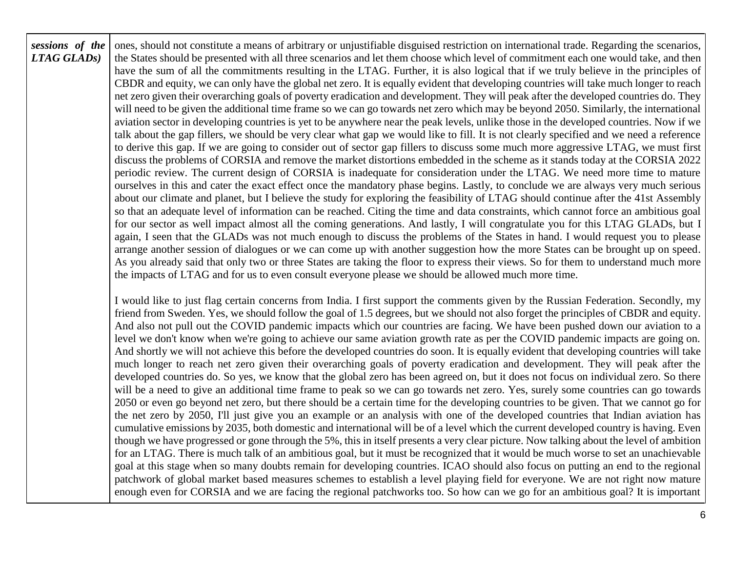| sessions of the<br>LTAG GLADS) | ones, should not constitute a means of arbitrary or unjustifiable disguised restriction on international trade. Regarding the scenarios,<br>the States should be presented with all three scenarios and let them choose which level of commitment each one would take, and then<br>have the sum of all the commitments resulting in the LTAG. Further, it is also logical that if we truly believe in the principles of<br>CBDR and equity, we can only have the global net zero. It is equally evident that developing countries will take much longer to reach<br>net zero given their overarching goals of poverty eradication and development. They will peak after the developed countries do. They<br>will need to be given the additional time frame so we can go towards net zero which may be beyond 2050. Similarly, the international<br>aviation sector in developing countries is yet to be anywhere near the peak levels, unlike those in the developed countries. Now if we<br>talk about the gap fillers, we should be very clear what gap we would like to fill. It is not clearly specified and we need a reference<br>to derive this gap. If we are going to consider out of sector gap fillers to discuss some much more aggressive LTAG, we must first<br>discuss the problems of CORSIA and remove the market distortions embedded in the scheme as it stands today at the CORSIA 2022<br>periodic review. The current design of CORSIA is inadequate for consideration under the LTAG. We need more time to mature<br>ourselves in this and cater the exact effect once the mandatory phase begins. Lastly, to conclude we are always very much serious<br>about our climate and planet, but I believe the study for exploring the feasibility of LTAG should continue after the 41st Assembly<br>so that an adequate level of information can be reached. Citing the time and data constraints, which cannot force an ambitious goal<br>for our sector as well impact almost all the coming generations. And lastly, I will congratulate you for this LTAG GLADs, but I<br>again, I seen that the GLADs was not much enough to discuss the problems of the States in hand. I would request you to please<br>arrange another session of dialogues or we can come up with another suggestion how the more States can be brought up on speed.<br>As you already said that only two or three States are taking the floor to express their views. So for them to understand much more<br>the impacts of LTAG and for us to even consult everyone please we should be allowed much more time. |
|--------------------------------|-----------------------------------------------------------------------------------------------------------------------------------------------------------------------------------------------------------------------------------------------------------------------------------------------------------------------------------------------------------------------------------------------------------------------------------------------------------------------------------------------------------------------------------------------------------------------------------------------------------------------------------------------------------------------------------------------------------------------------------------------------------------------------------------------------------------------------------------------------------------------------------------------------------------------------------------------------------------------------------------------------------------------------------------------------------------------------------------------------------------------------------------------------------------------------------------------------------------------------------------------------------------------------------------------------------------------------------------------------------------------------------------------------------------------------------------------------------------------------------------------------------------------------------------------------------------------------------------------------------------------------------------------------------------------------------------------------------------------------------------------------------------------------------------------------------------------------------------------------------------------------------------------------------------------------------------------------------------------------------------------------------------------------------------------------------------------------------------------------------------------------------------------------------------------------------------------------------------------------------------------------------------------------------------------------------------------------------------------------------------------------------------------------------------------------------------------------------------------------------------------------------------------------------------------------------------------------------------------------------------|
|                                | I would like to just flag certain concerns from India. I first support the comments given by the Russian Federation. Secondly, my<br>friend from Sweden. Yes, we should follow the goal of 1.5 degrees, but we should not also forget the principles of CBDR and equity.<br>And also not pull out the COVID pandemic impacts which our countries are facing. We have been pushed down our aviation to a<br>level we don't know when we're going to achieve our same aviation growth rate as per the COVID pandemic impacts are going on.<br>And shortly we will not achieve this before the developed countries do soon. It is equally evident that developing countries will take<br>much longer to reach net zero given their overarching goals of poverty eradication and development. They will peak after the<br>developed countries do. So yes, we know that the global zero has been agreed on, but it does not focus on individual zero. So there<br>will be a need to give an additional time frame to peak so we can go towards net zero. Yes, surely some countries can go towards<br>2050 or even go beyond net zero, but there should be a certain time for the developing countries to be given. That we cannot go for<br>the net zero by 2050, I'll just give you an example or an analysis with one of the developed countries that Indian aviation has<br>cumulative emissions by 2035, both domestic and international will be of a level which the current developed country is having. Even<br>though we have progressed or gone through the 5%, this in itself presents a very clear picture. Now talking about the level of ambition<br>for an LTAG. There is much talk of an ambitious goal, but it must be recognized that it would be much worse to set an unachievable<br>goal at this stage when so many doubts remain for developing countries. ICAO should also focus on putting an end to the regional<br>patchwork of global market based measures schemes to establish a level playing field for everyone. We are not right now mature<br>enough even for CORSIA and we are facing the regional patchworks too. So how can we go for an ambitious goal? It is important                                                                                                                                                                                                                                                                                                                                                                                                         |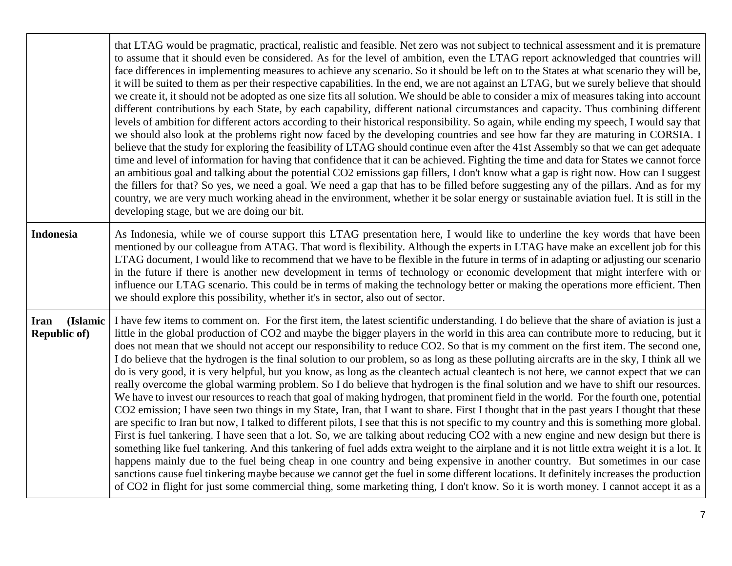|                                                | that LTAG would be pragmatic, practical, realistic and feasible. Net zero was not subject to technical assessment and it is premature<br>to assume that it should even be considered. As for the level of ambition, even the LTAG report acknowledged that countries will<br>face differences in implementing measures to achieve any scenario. So it should be left on to the States at what scenario they will be,<br>it will be suited to them as per their respective capabilities. In the end, we are not against an LTAG, but we surely believe that should<br>we create it, it should not be adopted as one size fits all solution. We should be able to consider a mix of measures taking into account<br>different contributions by each State, by each capability, different national circumstances and capacity. Thus combining different<br>levels of ambition for different actors according to their historical responsibility. So again, while ending my speech, I would say that<br>we should also look at the problems right now faced by the developing countries and see how far they are maturing in CORSIA. I<br>believe that the study for exploring the feasibility of LTAG should continue even after the 41st Assembly so that we can get adequate<br>time and level of information for having that confidence that it can be achieved. Fighting the time and data for States we cannot force<br>an ambitious goal and talking about the potential CO2 emissions gap fillers, I don't know what a gap is right now. How can I suggest<br>the fillers for that? So yes, we need a goal. We need a gap that has to be filled before suggesting any of the pillars. And as for my<br>country, we are very much working ahead in the environment, whether it be solar energy or sustainable aviation fuel. It is still in the<br>developing stage, but we are doing our bit.                                                                                                          |
|------------------------------------------------|------------------------------------------------------------------------------------------------------------------------------------------------------------------------------------------------------------------------------------------------------------------------------------------------------------------------------------------------------------------------------------------------------------------------------------------------------------------------------------------------------------------------------------------------------------------------------------------------------------------------------------------------------------------------------------------------------------------------------------------------------------------------------------------------------------------------------------------------------------------------------------------------------------------------------------------------------------------------------------------------------------------------------------------------------------------------------------------------------------------------------------------------------------------------------------------------------------------------------------------------------------------------------------------------------------------------------------------------------------------------------------------------------------------------------------------------------------------------------------------------------------------------------------------------------------------------------------------------------------------------------------------------------------------------------------------------------------------------------------------------------------------------------------------------------------------------------------------------------------------------------------------------------------------------------------------------------------------------------------------------------------|
| <b>Indonesia</b>                               | As Indonesia, while we of course support this LTAG presentation here, I would like to underline the key words that have been<br>mentioned by our colleague from ATAG. That word is flexibility. Although the experts in LTAG have make an excellent job for this<br>LTAG document, I would like to recommend that we have to be flexible in the future in terms of in adapting or adjusting our scenario<br>in the future if there is another new development in terms of technology or economic development that might interfere with or<br>influence our LTAG scenario. This could be in terms of making the technology better or making the operations more efficient. Then<br>we should explore this possibility, whether it's in sector, also out of sector.                                                                                                                                                                                                                                                                                                                                                                                                                                                                                                                                                                                                                                                                                                                                                                                                                                                                                                                                                                                                                                                                                                                                                                                                                                          |
| (Islamic<br><b>Iran</b><br><b>Republic of)</b> | I have few items to comment on. For the first item, the latest scientific understanding. I do believe that the share of aviation is just a<br>little in the global production of CO2 and maybe the bigger players in the world in this area can contribute more to reducing, but it<br>does not mean that we should not accept our responsibility to reduce CO2. So that is my comment on the first item. The second one,<br>I do believe that the hydrogen is the final solution to our problem, so as long as these polluting aircrafts are in the sky, I think all we<br>do is very good, it is very helpful, but you know, as long as the cleantech actual cleantech is not here, we cannot expect that we can<br>really overcome the global warming problem. So I do believe that hydrogen is the final solution and we have to shift our resources.<br>We have to invest our resources to reach that goal of making hydrogen, that prominent field in the world. For the fourth one, potential<br>CO2 emission; I have seen two things in my State, Iran, that I want to share. First I thought that in the past years I thought that these<br>are specific to Iran but now, I talked to different pilots, I see that this is not specific to my country and this is something more global.<br>First is fuel tankering. I have seen that a lot. So, we are talking about reducing CO2 with a new engine and new design but there is<br>something like fuel tankering. And this tankering of fuel adds extra weight to the airplane and it is not little extra weight it is a lot. It<br>happens mainly due to the fuel being cheap in one country and being expensive in another country. But sometimes in our case<br>sanctions cause fuel tinkering maybe because we cannot get the fuel in some different locations. It definitely increases the production<br>of CO2 in flight for just some commercial thing, some marketing thing, I don't know. So it is worth money. I cannot accept it as a |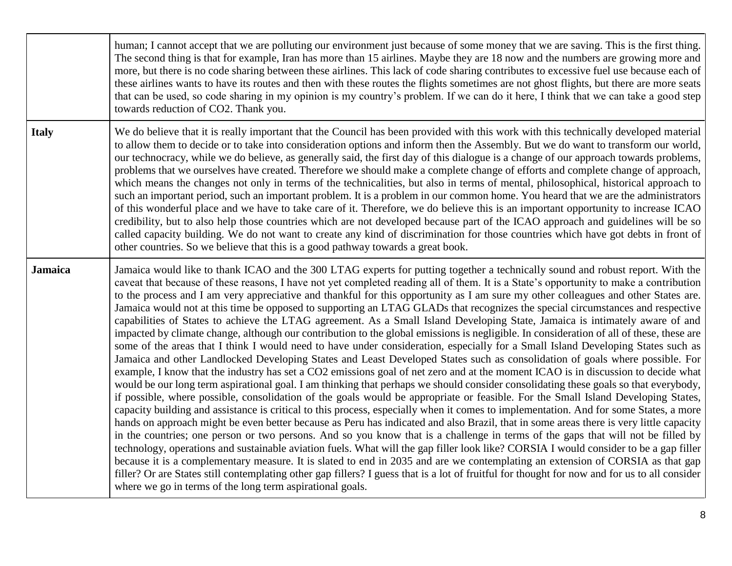|                | human; I cannot accept that we are polluting our environment just because of some money that we are saving. This is the first thing.<br>The second thing is that for example, Iran has more than 15 airlines. Maybe they are 18 now and the numbers are growing more and<br>more, but there is no code sharing between these airlines. This lack of code sharing contributes to excessive fuel use because each of<br>these airlines wants to have its routes and then with these routes the flights sometimes are not ghost flights, but there are more seats<br>that can be used, so code sharing in my opinion is my country's problem. If we can do it here, I think that we can take a good step<br>towards reduction of CO2. Thank you.                                                                                                                                                                                                                                                                                                                                                                                                                                                                                                                                                                                                                                                                                                                                                                                                                                                                                                                                                                                                                                                                                                                                                                                                                                                                                                                                                                                                                                                                                                                                                                                                                                                                                      |
|----------------|------------------------------------------------------------------------------------------------------------------------------------------------------------------------------------------------------------------------------------------------------------------------------------------------------------------------------------------------------------------------------------------------------------------------------------------------------------------------------------------------------------------------------------------------------------------------------------------------------------------------------------------------------------------------------------------------------------------------------------------------------------------------------------------------------------------------------------------------------------------------------------------------------------------------------------------------------------------------------------------------------------------------------------------------------------------------------------------------------------------------------------------------------------------------------------------------------------------------------------------------------------------------------------------------------------------------------------------------------------------------------------------------------------------------------------------------------------------------------------------------------------------------------------------------------------------------------------------------------------------------------------------------------------------------------------------------------------------------------------------------------------------------------------------------------------------------------------------------------------------------------------------------------------------------------------------------------------------------------------------------------------------------------------------------------------------------------------------------------------------------------------------------------------------------------------------------------------------------------------------------------------------------------------------------------------------------------------------------------------------------------------------------------------------------------------|
| <b>Italy</b>   | We do believe that it is really important that the Council has been provided with this work with this technically developed material<br>to allow them to decide or to take into consideration options and inform then the Assembly. But we do want to transform our world,<br>our technocracy, while we do believe, as generally said, the first day of this dialogue is a change of our approach towards problems,<br>problems that we ourselves have created. Therefore we should make a complete change of efforts and complete change of approach,<br>which means the changes not only in terms of the technicalities, but also in terms of mental, philosophical, historical approach to<br>such an important period, such an important problem. It is a problem in our common home. You heard that we are the administrators<br>of this wonderful place and we have to take care of it. Therefore, we do believe this is an important opportunity to increase ICAO<br>credibility, but to also help those countries which are not developed because part of the ICAO approach and guidelines will be so<br>called capacity building. We do not want to create any kind of discrimination for those countries which have got debts in front of<br>other countries. So we believe that this is a good pathway towards a great book.                                                                                                                                                                                                                                                                                                                                                                                                                                                                                                                                                                                                                                                                                                                                                                                                                                                                                                                                                                                                                                                                                            |
| <b>Jamaica</b> | Jamaica would like to thank ICAO and the 300 LTAG experts for putting together a technically sound and robust report. With the<br>caveat that because of these reasons, I have not yet completed reading all of them. It is a State's opportunity to make a contribution<br>to the process and I am very appreciative and thankful for this opportunity as I am sure my other colleagues and other States are.<br>Jamaica would not at this time be opposed to supporting an LTAG GLADs that recognizes the special circumstances and respective<br>capabilities of States to achieve the LTAG agreement. As a Small Island Developing State, Jamaica is intimately aware of and<br>impacted by climate change, although our contribution to the global emissions is negligible. In consideration of all of these, these are<br>some of the areas that I think I would need to have under consideration, especially for a Small Island Developing States such as<br>Jamaica and other Landlocked Developing States and Least Developed States such as consolidation of goals where possible. For<br>example, I know that the industry has set a CO2 emissions goal of net zero and at the moment ICAO is in discussion to decide what<br>would be our long term aspirational goal. I am thinking that perhaps we should consider consolidating these goals so that everybody,<br>if possible, where possible, consolidation of the goals would be appropriate or feasible. For the Small Island Developing States,<br>capacity building and assistance is critical to this process, especially when it comes to implementation. And for some States, a more<br>hands on approach might be even better because as Peru has indicated and also Brazil, that in some areas there is very little capacity<br>in the countries; one person or two persons. And so you know that is a challenge in terms of the gaps that will not be filled by<br>technology, operations and sustainable aviation fuels. What will the gap filler look like? CORSIA I would consider to be a gap filler<br>because it is a complementary measure. It is slated to end in 2035 and are we contemplating an extension of CORSIA as that gap<br>filler? Or are States still contemplating other gap fillers? I guess that is a lot of fruitful for thought for now and for us to all consider<br>where we go in terms of the long term aspirational goals. |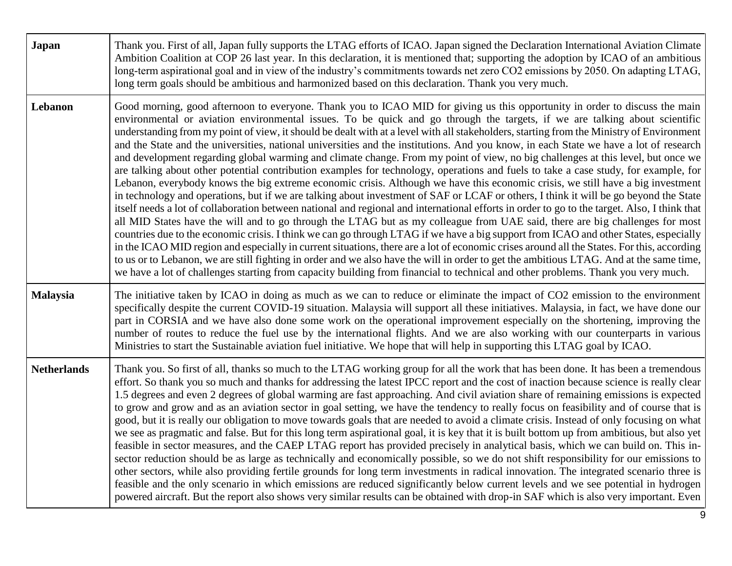| Japan              | Thank you. First of all, Japan fully supports the LTAG efforts of ICAO. Japan signed the Declaration International Aviation Climate<br>Ambition Coalition at COP 26 last year. In this declaration, it is mentioned that; supporting the adoption by ICAO of an ambitious<br>long-term aspirational goal and in view of the industry's commitments towards net zero CO2 emissions by 2050. On adapting LTAG,<br>long term goals should be ambitious and harmonized based on this declaration. Thank you very much.                                                                                                                                                                                                                                                                                                                                                                                                                                                                                                                                                                                                                                                                                                                                                                                                                                                                                                                                                                                                                                                                                                                                                                                                                                                                                                                                                                                                                                         |
|--------------------|------------------------------------------------------------------------------------------------------------------------------------------------------------------------------------------------------------------------------------------------------------------------------------------------------------------------------------------------------------------------------------------------------------------------------------------------------------------------------------------------------------------------------------------------------------------------------------------------------------------------------------------------------------------------------------------------------------------------------------------------------------------------------------------------------------------------------------------------------------------------------------------------------------------------------------------------------------------------------------------------------------------------------------------------------------------------------------------------------------------------------------------------------------------------------------------------------------------------------------------------------------------------------------------------------------------------------------------------------------------------------------------------------------------------------------------------------------------------------------------------------------------------------------------------------------------------------------------------------------------------------------------------------------------------------------------------------------------------------------------------------------------------------------------------------------------------------------------------------------------------------------------------------------------------------------------------------------|
| Lebanon            | Good morning, good afternoon to everyone. Thank you to ICAO MID for giving us this opportunity in order to discuss the main<br>environmental or aviation environmental issues. To be quick and go through the targets, if we are talking about scientific<br>understanding from my point of view, it should be dealt with at a level with all stakeholders, starting from the Ministry of Environment<br>and the State and the universities, national universities and the institutions. And you know, in each State we have a lot of research<br>and development regarding global warming and climate change. From my point of view, no big challenges at this level, but once we<br>are talking about other potential contribution examples for technology, operations and fuels to take a case study, for example, for<br>Lebanon, everybody knows the big extreme economic crisis. Although we have this economic crisis, we still have a big investment<br>in technology and operations, but if we are talking about investment of SAF or LCAF or others, I think it will be go beyond the State<br>itself needs a lot of collaboration between national and regional and international efforts in order to go to the target. Also, I think that<br>all MID States have the will and to go through the LTAG but as my colleague from UAE said, there are big challenges for most<br>countries due to the economic crisis. I think we can go through LTAG if we have a big support from ICAO and other States, especially<br>in the ICAO MID region and especially in current situations, there are a lot of economic crises around all the States. For this, according<br>to us or to Lebanon, we are still fighting in order and we also have the will in order to get the ambitious LTAG. And at the same time,<br>we have a lot of challenges starting from capacity building from financial to technical and other problems. Thank you very much. |
| <b>Malaysia</b>    | The initiative taken by ICAO in doing as much as we can to reduce or eliminate the impact of CO2 emission to the environment<br>specifically despite the current COVID-19 situation. Malaysia will support all these initiatives. Malaysia, in fact, we have done our<br>part in CORSIA and we have also done some work on the operational improvement especially on the shortening, improving the<br>number of routes to reduce the fuel use by the international flights. And we are also working with our counterparts in various<br>Ministries to start the Sustainable aviation fuel initiative. We hope that will help in supporting this LTAG goal by ICAO.                                                                                                                                                                                                                                                                                                                                                                                                                                                                                                                                                                                                                                                                                                                                                                                                                                                                                                                                                                                                                                                                                                                                                                                                                                                                                         |
| <b>Netherlands</b> | Thank you. So first of all, thanks so much to the LTAG working group for all the work that has been done. It has been a tremendous<br>effort. So thank you so much and thanks for addressing the latest IPCC report and the cost of inaction because science is really clear<br>1.5 degrees and even 2 degrees of global warming are fast approaching. And civil aviation share of remaining emissions is expected<br>to grow and grow and as an aviation sector in goal setting, we have the tendency to really focus on feasibility and of course that is<br>good, but it is really our obligation to move towards goals that are needed to avoid a climate crisis. Instead of only focusing on what<br>we see as pragmatic and false. But for this long term aspirational goal, it is key that it is built bottom up from ambitious, but also yet<br>feasible in sector measures, and the CAEP LTAG report has provided precisely in analytical basis, which we can build on. This in-<br>sector reduction should be as large as technically and economically possible, so we do not shift responsibility for our emissions to<br>other sectors, while also providing fertile grounds for long term investments in radical innovation. The integrated scenario three is<br>feasible and the only scenario in which emissions are reduced significantly below current levels and we see potential in hydrogen<br>powered aircraft. But the report also shows very similar results can be obtained with drop-in SAF which is also very important. Even                                                                                                                                                                                                                                                                                                                                                                                                    |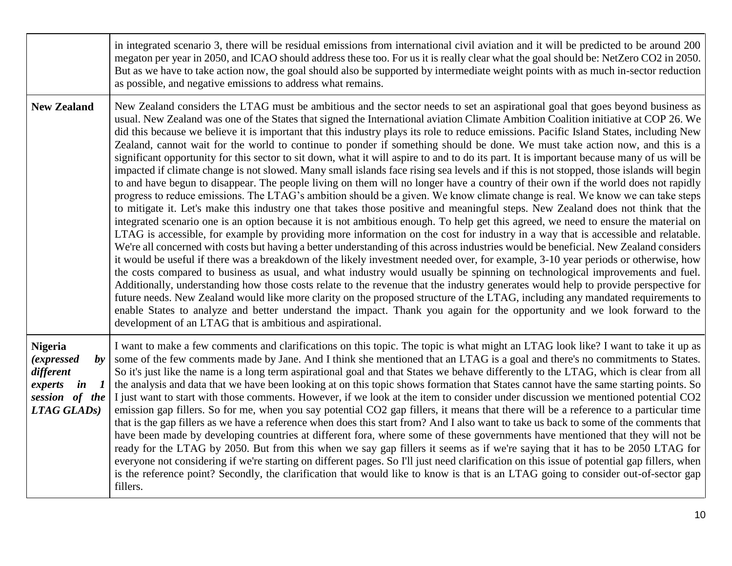|                                                                                                                                            | in integrated scenario 3, there will be residual emissions from international civil aviation and it will be predicted to be around 200<br>megaton per year in 2050, and ICAO should address these too. For us it is really clear what the goal should be: NetZero CO2 in 2050.<br>But as we have to take action now, the goal should also be supported by intermediate weight points with as much in-sector reduction<br>as possible, and negative emissions to address what remains.                                                                                                                                                                                                                                                                                                                                                                                                                                                                                                                                                                                                                                                                                                                                                                                                                                                                                                                                                                                                                                                                                                                                                                                                                                                                                                                                                                                                                                                                                                                                                                                                                                                                                                                                                                                                                                                                                                                                  |
|--------------------------------------------------------------------------------------------------------------------------------------------|------------------------------------------------------------------------------------------------------------------------------------------------------------------------------------------------------------------------------------------------------------------------------------------------------------------------------------------------------------------------------------------------------------------------------------------------------------------------------------------------------------------------------------------------------------------------------------------------------------------------------------------------------------------------------------------------------------------------------------------------------------------------------------------------------------------------------------------------------------------------------------------------------------------------------------------------------------------------------------------------------------------------------------------------------------------------------------------------------------------------------------------------------------------------------------------------------------------------------------------------------------------------------------------------------------------------------------------------------------------------------------------------------------------------------------------------------------------------------------------------------------------------------------------------------------------------------------------------------------------------------------------------------------------------------------------------------------------------------------------------------------------------------------------------------------------------------------------------------------------------------------------------------------------------------------------------------------------------------------------------------------------------------------------------------------------------------------------------------------------------------------------------------------------------------------------------------------------------------------------------------------------------------------------------------------------------------------------------------------------------------------------------------------------------|
| <b>New Zealand</b>                                                                                                                         | New Zealand considers the LTAG must be ambitious and the sector needs to set an aspirational goal that goes beyond business as<br>usual. New Zealand was one of the States that signed the International aviation Climate Ambition Coalition initiative at COP 26. We<br>did this because we believe it is important that this industry plays its role to reduce emissions. Pacific Island States, including New<br>Zealand, cannot wait for the world to continue to ponder if something should be done. We must take action now, and this is a<br>significant opportunity for this sector to sit down, what it will aspire to and to do its part. It is important because many of us will be<br>impacted if climate change is not slowed. Many small islands face rising sea levels and if this is not stopped, those islands will begin<br>to and have begun to disappear. The people living on them will no longer have a country of their own if the world does not rapidly<br>progress to reduce emissions. The LTAG's ambition should be a given. We know climate change is real. We know we can take steps<br>to mitigate it. Let's make this industry one that takes those positive and meaningful steps. New Zealand does not think that the<br>integrated scenario one is an option because it is not ambitious enough. To help get this agreed, we need to ensure the material on<br>LTAG is accessible, for example by providing more information on the cost for industry in a way that is accessible and relatable.<br>We're all concerned with costs but having a better understanding of this across industries would be beneficial. New Zealand considers<br>it would be useful if there was a breakdown of the likely investment needed over, for example, 3-10 year periods or otherwise, how<br>the costs compared to business as usual, and what industry would usually be spinning on technological improvements and fuel.<br>Additionally, understanding how those costs relate to the revenue that the industry generates would help to provide perspective for<br>future needs. New Zealand would like more clarity on the proposed structure of the LTAG, including any mandated requirements to<br>enable States to analyze and better understand the impact. Thank you again for the opportunity and we look forward to the<br>development of an LTAG that is ambitious and aspirational. |
| <b>Nigeria</b><br><i>(expressed</i><br>$\boldsymbol{b}$<br>different<br>in<br>$\boldsymbol{l}$<br>experts<br>session of the<br>LTAG GLADs) | I want to make a few comments and clarifications on this topic. The topic is what might an LTAG look like? I want to take it up as<br>some of the few comments made by Jane. And I think she mentioned that an LTAG is a goal and there's no commitments to States.<br>So it's just like the name is a long term aspirational goal and that States we behave differently to the LTAG, which is clear from all<br>the analysis and data that we have been looking at on this topic shows formation that States cannot have the same starting points. So<br>I just want to start with those comments. However, if we look at the item to consider under discussion we mentioned potential CO2<br>emission gap fillers. So for me, when you say potential CO2 gap fillers, it means that there will be a reference to a particular time<br>that is the gap fillers as we have a reference when does this start from? And I also want to take us back to some of the comments that<br>have been made by developing countries at different fora, where some of these governments have mentioned that they will not be<br>ready for the LTAG by 2050. But from this when we say gap fillers it seems as if we're saying that it has to be 2050 LTAG for<br>everyone not considering if we're starting on different pages. So I'll just need clarification on this issue of potential gap fillers, when<br>is the reference point? Secondly, the clarification that would like to know is that is an LTAG going to consider out-of-sector gap<br>fillers.                                                                                                                                                                                                                                                                                                                                                                                                                                                                                                                                                                                                                                                                                                                                                                                                                                                                     |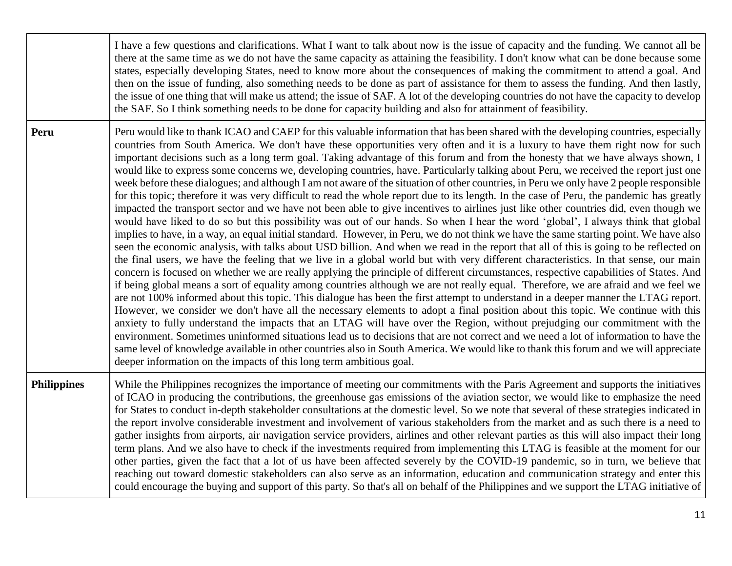|                    | I have a few questions and clarifications. What I want to talk about now is the issue of capacity and the funding. We cannot all be<br>there at the same time as we do not have the same capacity as attaining the feasibility. I don't know what can be done because some<br>states, especially developing States, need to know more about the consequences of making the commitment to attend a goal. And<br>then on the issue of funding, also something needs to be done as part of assistance for them to assess the funding. And then lastly,<br>the issue of one thing that will make us attend; the issue of SAF. A lot of the developing countries do not have the capacity to develop<br>the SAF. So I think something needs to be done for capacity building and also for attainment of feasibility.                                                                                                                                                                                                                                                                                                                                                                                                                                                                                                                                                                                                                                                                                                                                                                                                                                                                                                                                                                                                                                                                                                                                                                                                                                                                                                                                                                                                                                                                                                                                                                                                                                                                                                                                                                           |
|--------------------|-------------------------------------------------------------------------------------------------------------------------------------------------------------------------------------------------------------------------------------------------------------------------------------------------------------------------------------------------------------------------------------------------------------------------------------------------------------------------------------------------------------------------------------------------------------------------------------------------------------------------------------------------------------------------------------------------------------------------------------------------------------------------------------------------------------------------------------------------------------------------------------------------------------------------------------------------------------------------------------------------------------------------------------------------------------------------------------------------------------------------------------------------------------------------------------------------------------------------------------------------------------------------------------------------------------------------------------------------------------------------------------------------------------------------------------------------------------------------------------------------------------------------------------------------------------------------------------------------------------------------------------------------------------------------------------------------------------------------------------------------------------------------------------------------------------------------------------------------------------------------------------------------------------------------------------------------------------------------------------------------------------------------------------------------------------------------------------------------------------------------------------------------------------------------------------------------------------------------------------------------------------------------------------------------------------------------------------------------------------------------------------------------------------------------------------------------------------------------------------------------------------------------------------------------------------------------------------------|
| Peru               | Peru would like to thank ICAO and CAEP for this valuable information that has been shared with the developing countries, especially<br>countries from South America. We don't have these opportunities very often and it is a luxury to have them right now for such<br>important decisions such as a long term goal. Taking advantage of this forum and from the honesty that we have always shown, I<br>would like to express some concerns we, developing countries, have. Particularly talking about Peru, we received the report just one<br>week before these dialogues; and although I am not aware of the situation of other countries, in Peru we only have 2 people responsible<br>for this topic; therefore it was very difficult to read the whole report due to its length. In the case of Peru, the pandemic has greatly<br>impacted the transport sector and we have not been able to give incentives to airlines just like other countries did, even though we<br>would have liked to do so but this possibility was out of our hands. So when I hear the word 'global', I always think that global<br>implies to have, in a way, an equal initial standard. However, in Peru, we do not think we have the same starting point. We have also<br>seen the economic analysis, with talks about USD billion. And when we read in the report that all of this is going to be reflected on<br>the final users, we have the feeling that we live in a global world but with very different characteristics. In that sense, our main<br>concern is focused on whether we are really applying the principle of different circumstances, respective capabilities of States. And<br>if being global means a sort of equality among countries although we are not really equal. Therefore, we are afraid and we feel we<br>are not 100% informed about this topic. This dialogue has been the first attempt to understand in a deeper manner the LTAG report.<br>However, we consider we don't have all the necessary elements to adopt a final position about this topic. We continue with this<br>anxiety to fully understand the impacts that an LTAG will have over the Region, without prejudging our commitment with the<br>environment. Sometimes uninformed situations lead us to decisions that are not correct and we need a lot of information to have the<br>same level of knowledge available in other countries also in South America. We would like to thank this forum and we will appreciate<br>deeper information on the impacts of this long term ambitious goal. |
| <b>Philippines</b> | While the Philippines recognizes the importance of meeting our commitments with the Paris Agreement and supports the initiatives<br>of ICAO in producing the contributions, the greenhouse gas emissions of the aviation sector, we would like to emphasize the need<br>for States to conduct in-depth stakeholder consultations at the domestic level. So we note that several of these strategies indicated in<br>the report involve considerable investment and involvement of various stakeholders from the market and as such there is a need to<br>gather insights from airports, air navigation service providers, airlines and other relevant parties as this will also impact their long<br>term plans. And we also have to check if the investments required from implementing this LTAG is feasible at the moment for our<br>other parties, given the fact that a lot of us have been affected severely by the COVID-19 pandemic, so in turn, we believe that<br>reaching out toward domestic stakeholders can also serve as an information, education and communication strategy and enter this<br>could encourage the buying and support of this party. So that's all on behalf of the Philippines and we support the LTAG initiative of                                                                                                                                                                                                                                                                                                                                                                                                                                                                                                                                                                                                                                                                                                                                                                                                                                                                                                                                                                                                                                                                                                                                                                                                                                                                                                                                     |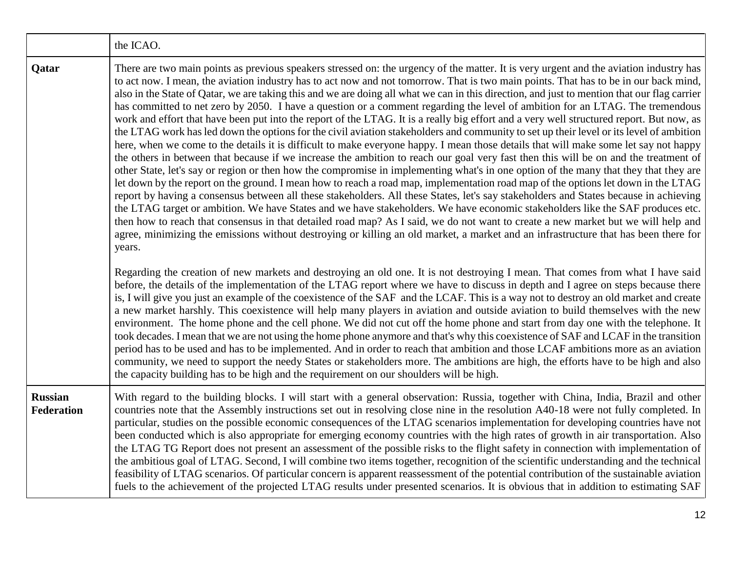|                              | the ICAO.                                                                                                                                                                                                                                                                                                                                                                                                                                                                                                                                                                                                                                                                                                                                                                                                                                                                                                                                                                                                                                                                                                                                                                                                                                                                                                                                                                                                                                                                                                                                                                                                                                                                                                                                                                                                                                                                                                                                                                                                                                                                                                                                                                                                                                                                                                                                                                                                                                                                                                                                                                                                                                                                  |
|------------------------------|----------------------------------------------------------------------------------------------------------------------------------------------------------------------------------------------------------------------------------------------------------------------------------------------------------------------------------------------------------------------------------------------------------------------------------------------------------------------------------------------------------------------------------------------------------------------------------------------------------------------------------------------------------------------------------------------------------------------------------------------------------------------------------------------------------------------------------------------------------------------------------------------------------------------------------------------------------------------------------------------------------------------------------------------------------------------------------------------------------------------------------------------------------------------------------------------------------------------------------------------------------------------------------------------------------------------------------------------------------------------------------------------------------------------------------------------------------------------------------------------------------------------------------------------------------------------------------------------------------------------------------------------------------------------------------------------------------------------------------------------------------------------------------------------------------------------------------------------------------------------------------------------------------------------------------------------------------------------------------------------------------------------------------------------------------------------------------------------------------------------------------------------------------------------------------------------------------------------------------------------------------------------------------------------------------------------------------------------------------------------------------------------------------------------------------------------------------------------------------------------------------------------------------------------------------------------------------------------------------------------------------------------------------------------------|
| Qatar                        | There are two main points as previous speakers stressed on: the urgency of the matter. It is very urgent and the aviation industry has<br>to act now. I mean, the aviation industry has to act now and not tomorrow. That is two main points. That has to be in our back mind,<br>also in the State of Qatar, we are taking this and we are doing all what we can in this direction, and just to mention that our flag carrier<br>has committed to net zero by 2050. I have a question or a comment regarding the level of ambition for an LTAG. The tremendous<br>work and effort that have been put into the report of the LTAG. It is a really big effort and a very well structured report. But now, as<br>the LTAG work has led down the options for the civil aviation stakeholders and community to set up their level or its level of ambition<br>here, when we come to the details it is difficult to make everyone happy. I mean those details that will make some let say not happy<br>the others in between that because if we increase the ambition to reach our goal very fast then this will be on and the treatment of<br>other State, let's say or region or then how the compromise in implementing what's in one option of the many that they that they are<br>let down by the report on the ground. I mean how to reach a road map, implementation road map of the options let down in the LTAG<br>report by having a consensus between all these stakeholders. All these States, let's say stakeholders and States because in achieving<br>the LTAG target or ambition. We have States and we have stakeholders. We have economic stakeholders like the SAF produces etc.<br>then how to reach that consensus in that detailed road map? As I said, we do not want to create a new market but we will help and<br>agree, minimizing the emissions without destroying or killing an old market, a market and an infrastructure that has been there for<br>years.<br>Regarding the creation of new markets and destroying an old one. It is not destroying I mean. That comes from what I have said<br>before, the details of the implementation of the LTAG report where we have to discuss in depth and I agree on steps because there<br>is, I will give you just an example of the coexistence of the SAF and the LCAF. This is a way not to destroy an old market and create<br>a new market harshly. This coexistence will help many players in aviation and outside aviation to build themselves with the new<br>environment. The home phone and the cell phone. We did not cut off the home phone and start from day one with the telephone. It |
|                              | took decades. I mean that we are not using the home phone anymore and that's why this coexistence of SAF and LCAF in the transition<br>period has to be used and has to be implemented. And in order to reach that ambition and those LCAF ambitions more as an aviation<br>community, we need to support the needy States or stakeholders more. The ambitions are high, the efforts have to be high and also<br>the capacity building has to be high and the requirement on our shoulders will be high.                                                                                                                                                                                                                                                                                                                                                                                                                                                                                                                                                                                                                                                                                                                                                                                                                                                                                                                                                                                                                                                                                                                                                                                                                                                                                                                                                                                                                                                                                                                                                                                                                                                                                                                                                                                                                                                                                                                                                                                                                                                                                                                                                                   |
| <b>Russian</b><br>Federation | With regard to the building blocks. I will start with a general observation: Russia, together with China, India, Brazil and other<br>countries note that the Assembly instructions set out in resolving close nine in the resolution A40-18 were not fully completed. In<br>particular, studies on the possible economic consequences of the LTAG scenarios implementation for developing countries have not<br>been conducted which is also appropriate for emerging economy countries with the high rates of growth in air transportation. Also<br>the LTAG TG Report does not present an assessment of the possible risks to the flight safety in connection with implementation of<br>the ambitious goal of LTAG. Second, I will combine two items together, recognition of the scientific understanding and the technical<br>feasibility of LTAG scenarios. Of particular concern is apparent reassessment of the potential contribution of the sustainable aviation<br>fuels to the achievement of the projected LTAG results under presented scenarios. It is obvious that in addition to estimating SAF                                                                                                                                                                                                                                                                                                                                                                                                                                                                                                                                                                                                                                                                                                                                                                                                                                                                                                                                                                                                                                                                                                                                                                                                                                                                                                                                                                                                                                                                                                                                                            |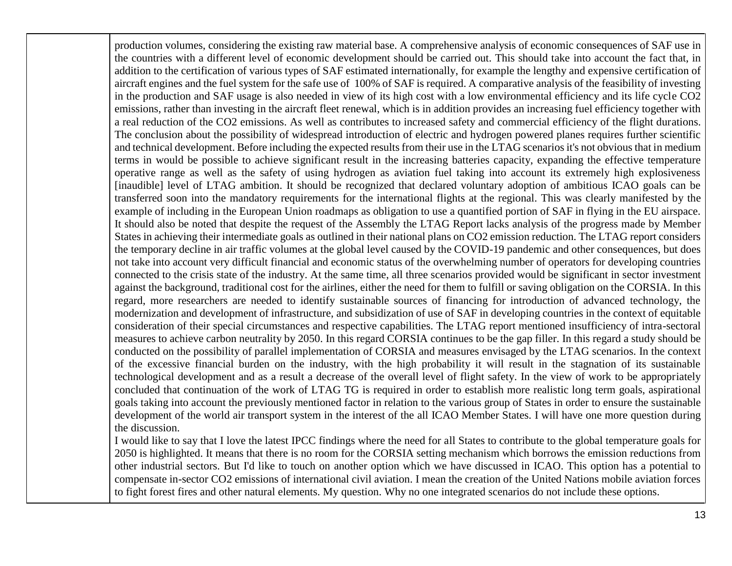production volumes, considering the existing raw material base. A comprehensive analysis of economic consequences of SAF use in the countries with a different level of economic development should be carried out. This should take into account the fact that, in addition to the certification of various types of SAF estimated internationally, for example the lengthy and expensive certification of aircraft engines and the fuel system for the safe use of 100% of SAF is required. A comparative analysis of the feasibility of investing in the production and SAF usage is also needed in view of its high cost with a low environmental efficiency and its life cycle CO2 emissions, rather than investing in the aircraft fleet renewal, which is in addition provides an increasing fuel efficiency together with a real reduction of the CO2 emissions. As well as contributes to increased safety and commercial efficiency of the flight durations. The conclusion about the possibility of widespread introduction of electric and hydrogen powered planes requires further scientific and technical development. Before including the expected results from their use in the LTAG scenarios it's not obvious that in medium terms in would be possible to achieve significant result in the increasing batteries capacity, expanding the effective temperature operative range as well as the safety of using hydrogen as aviation fuel taking into account its extremely high explosiveness [inaudible] level of LTAG ambition. It should be recognized that declared voluntary adoption of ambitious ICAO goals can be transferred soon into the mandatory requirements for the international flights at the regional. This was clearly manifested by the example of including in the European Union roadmaps as obligation to use a quantified portion of SAF in flying in the EU airspace. It should also be noted that despite the request of the Assembly the LTAG Report lacks analysis of the progress made by Member States in achieving their intermediate goals as outlined in their national plans on CO2 emission reduction. The LTAG report considers the temporary decline in air traffic volumes at the global level caused by the COVID-19 pandemic and other consequences, but does not take into account very difficult financial and economic status of the overwhelming number of operators for developing countries connected to the crisis state of the industry. At the same time, all three scenarios provided would be significant in sector investment against the background, traditional cost for the airlines, either the need for them to fulfill or saving obligation on the CORSIA. In this regard, more researchers are needed to identify sustainable sources of financing for introduction of advanced technology, the modernization and development of infrastructure, and subsidization of use of SAF in developing countries in the context of equitable consideration of their special circumstances and respective capabilities. The LTAG report mentioned insufficiency of intra-sectoral measures to achieve carbon neutrality by 2050. In this regard CORSIA continues to be the gap filler. In this regard a study should be conducted on the possibility of parallel implementation of CORSIA and measures envisaged by the LTAG scenarios. In the context of the excessive financial burden on the industry, with the high probability it will result in the stagnation of its sustainable technological development and as a result a decrease of the overall level of flight safety. In the view of work to be appropriately concluded that continuation of the work of LTAG TG is required in order to establish more realistic long term goals, aspirational goals taking into account the previously mentioned factor in relation to the various group of States in order to ensure the sustainable development of the world air transport system in the interest of the all ICAO Member States. I will have one more question during the discussion.

I would like to say that I love the latest IPCC findings where the need for all States to contribute to the global temperature goals for 2050 is highlighted. It means that there is no room for the CORSIA setting mechanism which borrows the emission reductions from other industrial sectors. But I'd like to touch on another option which we have discussed in ICAO. This option has a potential to compensate in-sector CO2 emissions of international civil aviation. I mean the creation of the United Nations mobile aviation forces to fight forest fires and other natural elements. My question. Why no one integrated scenarios do not include these options.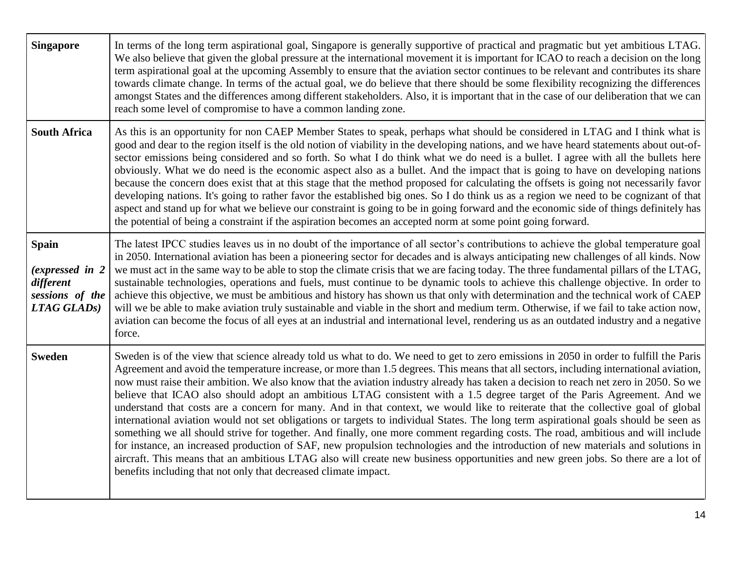| <b>Singapore</b>                                                                | In terms of the long term aspirational goal, Singapore is generally supportive of practical and pragmatic but yet ambitious LTAG.<br>We also believe that given the global pressure at the international movement it is important for ICAO to reach a decision on the long<br>term aspirational goal at the upcoming Assembly to ensure that the aviation sector continues to be relevant and contributes its share<br>towards climate change. In terms of the actual goal, we do believe that there should be some flexibility recognizing the differences<br>amongst States and the differences among different stakeholders. Also, it is important that in the case of our deliberation that we can<br>reach some level of compromise to have a common landing zone.                                                                                                                                                                                                                                                                                                                                                                                                                                                                                                                                         |
|---------------------------------------------------------------------------------|-----------------------------------------------------------------------------------------------------------------------------------------------------------------------------------------------------------------------------------------------------------------------------------------------------------------------------------------------------------------------------------------------------------------------------------------------------------------------------------------------------------------------------------------------------------------------------------------------------------------------------------------------------------------------------------------------------------------------------------------------------------------------------------------------------------------------------------------------------------------------------------------------------------------------------------------------------------------------------------------------------------------------------------------------------------------------------------------------------------------------------------------------------------------------------------------------------------------------------------------------------------------------------------------------------------------|
| <b>South Africa</b>                                                             | As this is an opportunity for non CAEP Member States to speak, perhaps what should be considered in LTAG and I think what is<br>good and dear to the region itself is the old notion of viability in the developing nations, and we have heard statements about out-of-<br>sector emissions being considered and so forth. So what I do think what we do need is a bullet. I agree with all the bullets here<br>obviously. What we do need is the economic aspect also as a bullet. And the impact that is going to have on developing nations<br>because the concern does exist that at this stage that the method proposed for calculating the offsets is going not necessarily favor<br>developing nations. It's going to rather favor the established big ones. So I do think us as a region we need to be cognizant of that<br>aspect and stand up for what we believe our constraint is going to be in going forward and the economic side of things definitely has<br>the potential of being a constraint if the aspiration becomes an accepted norm at some point going forward.                                                                                                                                                                                                                        |
| <b>Spain</b><br>(expressed in 2)<br>different<br>sessions of the<br>LTAG GLADS) | The latest IPCC studies leaves us in no doubt of the importance of all sector's contributions to achieve the global temperature goal<br>in 2050. International aviation has been a pioneering sector for decades and is always anticipating new challenges of all kinds. Now<br>we must act in the same way to be able to stop the climate crisis that we are facing today. The three fundamental pillars of the LTAG,<br>sustainable technologies, operations and fuels, must continue to be dynamic tools to achieve this challenge objective. In order to<br>achieve this objective, we must be ambitious and history has shown us that only with determination and the technical work of CAEP<br>will we be able to make aviation truly sustainable and viable in the short and medium term. Otherwise, if we fail to take action now,<br>aviation can become the focus of all eyes at an industrial and international level, rendering us as an outdated industry and a negative<br>force.                                                                                                                                                                                                                                                                                                                 |
| <b>Sweden</b>                                                                   | Sweden is of the view that science already told us what to do. We need to get to zero emissions in 2050 in order to fulfill the Paris<br>Agreement and avoid the temperature increase, or more than 1.5 degrees. This means that all sectors, including international aviation,<br>now must raise their ambition. We also know that the aviation industry already has taken a decision to reach net zero in 2050. So we<br>believe that ICAO also should adopt an ambitious LTAG consistent with a 1.5 degree target of the Paris Agreement. And we<br>understand that costs are a concern for many. And in that context, we would like to reiterate that the collective goal of global<br>international aviation would not set obligations or targets to individual States. The long term aspirational goals should be seen as<br>something we all should strive for together. And finally, one more comment regarding costs. The road, ambitious and will include<br>for instance, an increased production of SAF, new propulsion technologies and the introduction of new materials and solutions in<br>aircraft. This means that an ambitious LTAG also will create new business opportunities and new green jobs. So there are a lot of<br>benefits including that not only that decreased climate impact. |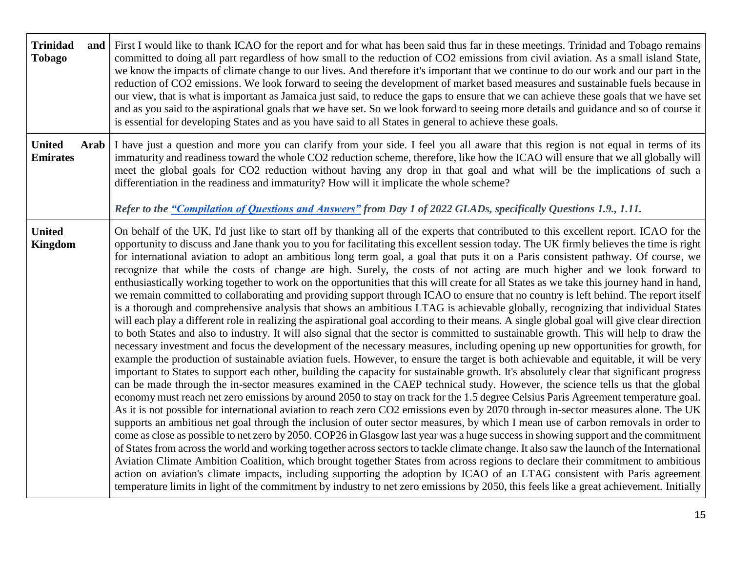| <b>Trinidad</b><br><b>Tobago</b> |      | and First I would like to thank ICAO for the report and for what has been said thus far in these meetings. Trinidad and Tobago remains<br>committed to doing all part regardless of how small to the reduction of CO2 emissions from civil aviation. As a small island State,<br>we know the impacts of climate change to our lives. And therefore it's important that we continue to do our work and our part in the<br>reduction of CO2 emissions. We look forward to seeing the development of market based measures and sustainable fuels because in<br>our view, that is what is important as Jamaica just said, to reduce the gaps to ensure that we can achieve these goals that we have set<br>and as you said to the aspirational goals that we have set. So we look forward to seeing more details and guidance and so of course it<br>is essential for developing States and as you have said to all States in general to achieve these goals.                                                                                                                                                                                                                                                                                                                                                                                                                                                                                                                                                                                                                                                                                                                                                                                                                                                                                                                                                                                                                                                                                                                                                                                                                                                                                                                                                                                                                                                                                                                                                                                                                                                                                                                                                                                                                                                                                                                                                                                         |
|----------------------------------|------|---------------------------------------------------------------------------------------------------------------------------------------------------------------------------------------------------------------------------------------------------------------------------------------------------------------------------------------------------------------------------------------------------------------------------------------------------------------------------------------------------------------------------------------------------------------------------------------------------------------------------------------------------------------------------------------------------------------------------------------------------------------------------------------------------------------------------------------------------------------------------------------------------------------------------------------------------------------------------------------------------------------------------------------------------------------------------------------------------------------------------------------------------------------------------------------------------------------------------------------------------------------------------------------------------------------------------------------------------------------------------------------------------------------------------------------------------------------------------------------------------------------------------------------------------------------------------------------------------------------------------------------------------------------------------------------------------------------------------------------------------------------------------------------------------------------------------------------------------------------------------------------------------------------------------------------------------------------------------------------------------------------------------------------------------------------------------------------------------------------------------------------------------------------------------------------------------------------------------------------------------------------------------------------------------------------------------------------------------------------------------------------------------------------------------------------------------------------------------------------------------------------------------------------------------------------------------------------------------------------------------------------------------------------------------------------------------------------------------------------------------------------------------------------------------------------------------------------------------------------------------------------------------------------------------------------------------|
| <b>United</b><br><b>Emirates</b> | Arab | I have just a question and more you can clarify from your side. I feel you all aware that this region is not equal in terms of its<br>immaturity and readiness toward the whole CO2 reduction scheme, therefore, like how the ICAO will ensure that we all globally will<br>meet the global goals for CO2 reduction without having any drop in that goal and what will be the implications of such a<br>differentiation in the readiness and immaturity? How will it implicate the whole scheme?<br>Refer to the "Compilation of Questions and Answers" from Day 1 of 2022 GLADs, specifically Questions 1.9., 1.11.                                                                                                                                                                                                                                                                                                                                                                                                                                                                                                                                                                                                                                                                                                                                                                                                                                                                                                                                                                                                                                                                                                                                                                                                                                                                                                                                                                                                                                                                                                                                                                                                                                                                                                                                                                                                                                                                                                                                                                                                                                                                                                                                                                                                                                                                                                                              |
| <b>United</b><br><b>Kingdom</b>  |      | On behalf of the UK, I'd just like to start off by thanking all of the experts that contributed to this excellent report. ICAO for the<br>opportunity to discuss and Jane thank you to you for facilitating this excellent session today. The UK firmly believes the time is right<br>for international aviation to adopt an ambitious long term goal, a goal that puts it on a Paris consistent pathway. Of course, we<br>recognize that while the costs of change are high. Surely, the costs of not acting are much higher and we look forward to<br>enthusiastically working together to work on the opportunities that this will create for all States as we take this journey hand in hand,<br>we remain committed to collaborating and providing support through ICAO to ensure that no country is left behind. The report itself<br>is a thorough and comprehensive analysis that shows an ambitious LTAG is achievable globally, recognizing that individual States<br>will each play a different role in realizing the aspirational goal according to their means. A single global goal will give clear direction<br>to both States and also to industry. It will also signal that the sector is committed to sustainable growth. This will help to draw the<br>necessary investment and focus the development of the necessary measures, including opening up new opportunities for growth, for<br>example the production of sustainable aviation fuels. However, to ensure the target is both achievable and equitable, it will be very<br>important to States to support each other, building the capacity for sustainable growth. It's absolutely clear that significant progress<br>can be made through the in-sector measures examined in the CAEP technical study. However, the science tells us that the global<br>economy must reach net zero emissions by around 2050 to stay on track for the 1.5 degree Celsius Paris Agreement temperature goal.<br>As it is not possible for international aviation to reach zero CO2 emissions even by 2070 through in-sector measures alone. The UK<br>supports an ambitious net goal through the inclusion of outer sector measures, by which I mean use of carbon removals in order to<br>come as close as possible to net zero by 2050. COP26 in Glasgow last year was a huge success in showing support and the commitment<br>of States from across the world and working together across sectors to tackle climate change. It also saw the launch of the International<br>Aviation Climate Ambition Coalition, which brought together States from across regions to declare their commitment to ambitious<br>action on aviation's climate impacts, including supporting the adoption by ICAO of an LTAG consistent with Paris agreement<br>temperature limits in light of the commitment by industry to net zero emissions by 2050, this feels like a great achievement. Initially |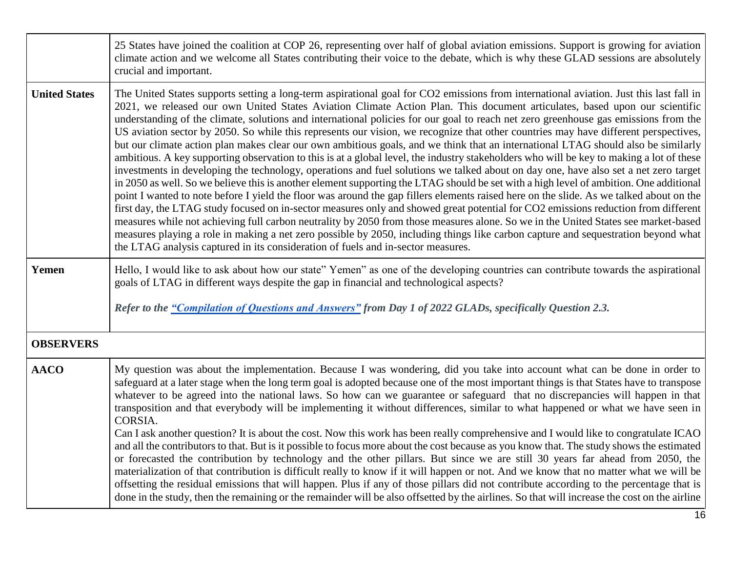|                      | 25 States have joined the coalition at COP 26, representing over half of global aviation emissions. Support is growing for aviation<br>climate action and we welcome all States contributing their voice to the debate, which is why these GLAD sessions are absolutely<br>crucial and important.                                                                                                                                                                                                                                                                                                                                                                                                                                                                                                                                                                                                                                                                                                                                                                                                                                                                                                                                                                                                                                                                                                                                                                                                                                                                                                                                                                                                                                                                    |
|----------------------|----------------------------------------------------------------------------------------------------------------------------------------------------------------------------------------------------------------------------------------------------------------------------------------------------------------------------------------------------------------------------------------------------------------------------------------------------------------------------------------------------------------------------------------------------------------------------------------------------------------------------------------------------------------------------------------------------------------------------------------------------------------------------------------------------------------------------------------------------------------------------------------------------------------------------------------------------------------------------------------------------------------------------------------------------------------------------------------------------------------------------------------------------------------------------------------------------------------------------------------------------------------------------------------------------------------------------------------------------------------------------------------------------------------------------------------------------------------------------------------------------------------------------------------------------------------------------------------------------------------------------------------------------------------------------------------------------------------------------------------------------------------------|
| <b>United States</b> | The United States supports setting a long-term aspirational goal for CO2 emissions from international aviation. Just this last fall in<br>2021, we released our own United States Aviation Climate Action Plan. This document articulates, based upon our scientific<br>understanding of the climate, solutions and international policies for our goal to reach net zero greenhouse gas emissions from the<br>US aviation sector by 2050. So while this represents our vision, we recognize that other countries may have different perspectives,<br>but our climate action plan makes clear our own ambitious goals, and we think that an international LTAG should also be similarly<br>ambitious. A key supporting observation to this is at a global level, the industry stakeholders who will be key to making a lot of these<br>investments in developing the technology, operations and fuel solutions we talked about on day one, have also set a net zero target<br>in 2050 as well. So we believe this is another element supporting the LTAG should be set with a high level of ambition. One additional<br>point I wanted to note before I yield the floor was around the gap fillers elements raised here on the slide. As we talked about on the<br>first day, the LTAG study focused on in-sector measures only and showed great potential for CO2 emissions reduction from different<br>measures while not achieving full carbon neutrality by 2050 from those measures alone. So we in the United States see market-based<br>measures playing a role in making a net zero possible by 2050, including things like carbon capture and sequestration beyond what<br>the LTAG analysis captured in its consideration of fuels and in-sector measures. |
| Yemen                | Hello, I would like to ask about how our state" Yemen" as one of the developing countries can contribute towards the aspirational<br>goals of LTAG in different ways despite the gap in financial and technological aspects?                                                                                                                                                                                                                                                                                                                                                                                                                                                                                                                                                                                                                                                                                                                                                                                                                                                                                                                                                                                                                                                                                                                                                                                                                                                                                                                                                                                                                                                                                                                                         |
|                      | Refer to the "Compilation of Questions and Answers" from Day 1 of 2022 GLADs, specifically Question 2.3.                                                                                                                                                                                                                                                                                                                                                                                                                                                                                                                                                                                                                                                                                                                                                                                                                                                                                                                                                                                                                                                                                                                                                                                                                                                                                                                                                                                                                                                                                                                                                                                                                                                             |
| <b>OBSERVERS</b>     |                                                                                                                                                                                                                                                                                                                                                                                                                                                                                                                                                                                                                                                                                                                                                                                                                                                                                                                                                                                                                                                                                                                                                                                                                                                                                                                                                                                                                                                                                                                                                                                                                                                                                                                                                                      |
| <b>AACO</b>          | My question was about the implementation. Because I was wondering, did you take into account what can be done in order to<br>safeguard at a later stage when the long term goal is adopted because one of the most important things is that States have to transpose<br>whatever to be agreed into the national laws. So how can we guarantee or safeguard that no discrepancies will happen in that<br>transposition and that everybody will be implementing it without differences, similar to what happened or what we have seen in<br>CORSIA.<br>Can I ask another question? It is about the cost. Now this work has been really comprehensive and I would like to congratulate ICAO<br>and all the contributors to that. But is it possible to focus more about the cost because as you know that. The study shows the estimated<br>or forecasted the contribution by technology and the other pillars. But since we are still 30 years far ahead from 2050, the<br>materialization of that contribution is difficult really to know if it will happen or not. And we know that no matter what we will be<br>offsetting the residual emissions that will happen. Plus if any of those pillars did not contribute according to the percentage that is<br>done in the study, then the remaining or the remainder will be also offsetted by the airlines. So that will increase the cost on the airline                                                                                                                                                                                                                                                                                                                                                            |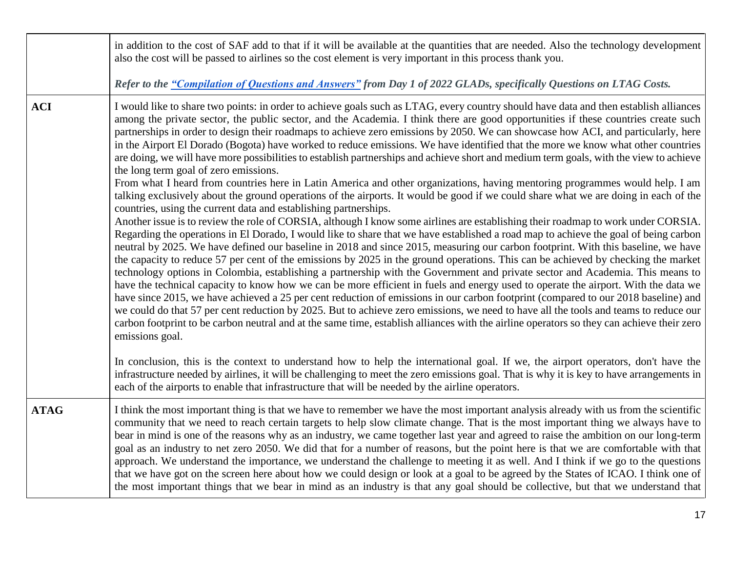|             | in addition to the cost of SAF add to that if it will be available at the quantities that are needed. Also the technology development<br>also the cost will be passed to airlines so the cost element is very important in this process thank you.                                                                                                                                                                                                                                                                                                                                                                                                                                                                                                                                                                                                                                                                                                                                                                                                                                                                                                                                                                                                                                                                                                                                                                                                                                                                                                                                                                                                                                                                                                                                                                                                                                                                                                                                                                                                                                                                                                                                                                                                                                                                                                              |
|-------------|-----------------------------------------------------------------------------------------------------------------------------------------------------------------------------------------------------------------------------------------------------------------------------------------------------------------------------------------------------------------------------------------------------------------------------------------------------------------------------------------------------------------------------------------------------------------------------------------------------------------------------------------------------------------------------------------------------------------------------------------------------------------------------------------------------------------------------------------------------------------------------------------------------------------------------------------------------------------------------------------------------------------------------------------------------------------------------------------------------------------------------------------------------------------------------------------------------------------------------------------------------------------------------------------------------------------------------------------------------------------------------------------------------------------------------------------------------------------------------------------------------------------------------------------------------------------------------------------------------------------------------------------------------------------------------------------------------------------------------------------------------------------------------------------------------------------------------------------------------------------------------------------------------------------------------------------------------------------------------------------------------------------------------------------------------------------------------------------------------------------------------------------------------------------------------------------------------------------------------------------------------------------------------------------------------------------------------------------------------------------|
|             | Refer to the "Compilation of Questions and Answers" from Day 1 of 2022 GLADs, specifically Questions on LTAG Costs.                                                                                                                                                                                                                                                                                                                                                                                                                                                                                                                                                                                                                                                                                                                                                                                                                                                                                                                                                                                                                                                                                                                                                                                                                                                                                                                                                                                                                                                                                                                                                                                                                                                                                                                                                                                                                                                                                                                                                                                                                                                                                                                                                                                                                                             |
| <b>ACI</b>  | I would like to share two points: in order to achieve goals such as LTAG, every country should have data and then establish alliances<br>among the private sector, the public sector, and the Academia. I think there are good opportunities if these countries create such<br>partnerships in order to design their roadmaps to achieve zero emissions by 2050. We can showcase how ACI, and particularly, here<br>in the Airport El Dorado (Bogota) have worked to reduce emissions. We have identified that the more we know what other countries<br>are doing, we will have more possibilities to establish partnerships and achieve short and medium term goals, with the view to achieve<br>the long term goal of zero emissions.<br>From what I heard from countries here in Latin America and other organizations, having mentoring programmes would help. I am<br>talking exclusively about the ground operations of the airports. It would be good if we could share what we are doing in each of the<br>countries, using the current data and establishing partnerships.<br>Another issue is to review the role of CORSIA, although I know some airlines are establishing their roadmap to work under CORSIA.<br>Regarding the operations in El Dorado, I would like to share that we have established a road map to achieve the goal of being carbon<br>neutral by 2025. We have defined our baseline in 2018 and since 2015, measuring our carbon footprint. With this baseline, we have<br>the capacity to reduce 57 per cent of the emissions by 2025 in the ground operations. This can be achieved by checking the market<br>technology options in Colombia, establishing a partnership with the Government and private sector and Academia. This means to<br>have the technical capacity to know how we can be more efficient in fuels and energy used to operate the airport. With the data we<br>have since 2015, we have achieved a 25 per cent reduction of emissions in our carbon footprint (compared to our 2018 baseline) and<br>we could do that 57 per cent reduction by 2025. But to achieve zero emissions, we need to have all the tools and teams to reduce our<br>carbon footprint to be carbon neutral and at the same time, establish alliances with the airline operators so they can achieve their zero<br>emissions goal. |
|             | In conclusion, this is the context to understand how to help the international goal. If we, the airport operators, don't have the<br>infrastructure needed by airlines, it will be challenging to meet the zero emissions goal. That is why it is key to have arrangements in<br>each of the airports to enable that infrastructure that will be needed by the airline operators.                                                                                                                                                                                                                                                                                                                                                                                                                                                                                                                                                                                                                                                                                                                                                                                                                                                                                                                                                                                                                                                                                                                                                                                                                                                                                                                                                                                                                                                                                                                                                                                                                                                                                                                                                                                                                                                                                                                                                                               |
| <b>ATAG</b> | I think the most important thing is that we have to remember we have the most important analysis already with us from the scientific<br>community that we need to reach certain targets to help slow climate change. That is the most important thing we always have to<br>bear in mind is one of the reasons why as an industry, we came together last year and agreed to raise the ambition on our long-term<br>goal as an industry to net zero 2050. We did that for a number of reasons, but the point here is that we are comfortable with that<br>approach. We understand the importance, we understand the challenge to meeting it as well. And I think if we go to the questions<br>that we have got on the screen here about how we could design or look at a goal to be agreed by the States of ICAO. I think one of<br>the most important things that we bear in mind as an industry is that any goal should be collective, but that we understand that                                                                                                                                                                                                                                                                                                                                                                                                                                                                                                                                                                                                                                                                                                                                                                                                                                                                                                                                                                                                                                                                                                                                                                                                                                                                                                                                                                                              |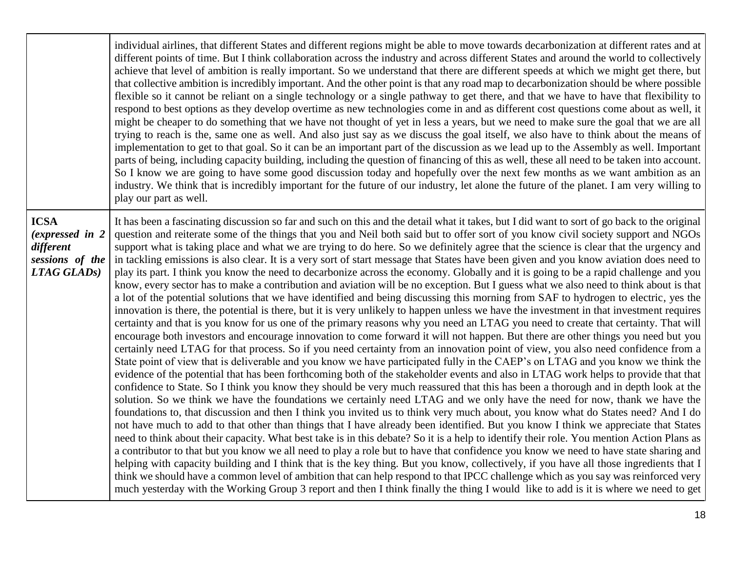|                                                                                  | individual airlines, that different States and different regions might be able to move towards decarbonization at different rates and at<br>different points of time. But I think collaboration across the industry and across different States and around the world to collectively<br>achieve that level of ambition is really important. So we understand that there are different speeds at which we might get there, but<br>that collective ambition is incredibly important. And the other point is that any road map to decarbonization should be where possible<br>flexible so it cannot be reliant on a single technology or a single pathway to get there, and that we have to have that flexibility to<br>respond to best options as they develop overtime as new technologies come in and as different cost questions come about as well, it<br>might be cheaper to do something that we have not thought of yet in less a years, but we need to make sure the goal that we are all<br>trying to reach is the, same one as well. And also just say as we discuss the goal itself, we also have to think about the means of<br>implementation to get to that goal. So it can be an important part of the discussion as we lead up to the Assembly as well. Important<br>parts of being, including capacity building, including the question of financing of this as well, these all need to be taken into account.<br>So I know we are going to have some good discussion today and hopefully over the next few months as we want ambition as an<br>industry. We think that is incredibly important for the future of our industry, let alone the future of the planet. I am very willing to<br>play our part as well.                                                                                                                                                                                                                                                                                                                                                                                                                                                                                                                                                                                                                                                                                                                                                                                                                                                                                                                                                                                                                                                                                                                                                                                                                                                                                                                                                           |
|----------------------------------------------------------------------------------|---------------------------------------------------------------------------------------------------------------------------------------------------------------------------------------------------------------------------------------------------------------------------------------------------------------------------------------------------------------------------------------------------------------------------------------------------------------------------------------------------------------------------------------------------------------------------------------------------------------------------------------------------------------------------------------------------------------------------------------------------------------------------------------------------------------------------------------------------------------------------------------------------------------------------------------------------------------------------------------------------------------------------------------------------------------------------------------------------------------------------------------------------------------------------------------------------------------------------------------------------------------------------------------------------------------------------------------------------------------------------------------------------------------------------------------------------------------------------------------------------------------------------------------------------------------------------------------------------------------------------------------------------------------------------------------------------------------------------------------------------------------------------------------------------------------------------------------------------------------------------------------------------------------------------------------------------------------------------------------------------------------------------------------------------------------------------------------------------------------------------------------------------------------------------------------------------------------------------------------------------------------------------------------------------------------------------------------------------------------------------------------------------------------------------------------------------------------------------------------------------------------------------------------------------------------------------------------------------------------------------------------------------------------------------------------------------------------------------------------------------------------------------------------------------------------------------------------------------------------------------------------------------------------------------------------------------------------------------------------------------------------------------------------------------------------------------------------------|
| <b>ICSA</b><br>(expressed in 2<br>different<br>sessions of the<br>$LTAG GLADs$ ) | It has been a fascinating discussion so far and such on this and the detail what it takes, but I did want to sort of go back to the original<br>question and reiterate some of the things that you and Neil both said but to offer sort of you know civil society support and NGOs<br>support what is taking place and what we are trying to do here. So we definitely agree that the science is clear that the urgency and<br>in tackling emissions is also clear. It is a very sort of start message that States have been given and you know aviation does need to<br>play its part. I think you know the need to decarbonize across the economy. Globally and it is going to be a rapid challenge and you<br>know, every sector has to make a contribution and aviation will be no exception. But I guess what we also need to think about is that<br>a lot of the potential solutions that we have identified and being discussing this morning from SAF to hydrogen to electric, yes the<br>innovation is there, the potential is there, but it is very unlikely to happen unless we have the investment in that investment requires<br>certainty and that is you know for us one of the primary reasons why you need an LTAG you need to create that certainty. That will<br>encourage both investors and encourage innovation to come forward it will not happen. But there are other things you need but you<br>certainly need LTAG for that process. So if you need certainty from an innovation point of view, you also need confidence from a<br>State point of view that is deliverable and you know we have participated fully in the CAEP's on LTAG and you know we think the<br>evidence of the potential that has been forthcoming both of the stakeholder events and also in LTAG work helps to provide that that<br>confidence to State. So I think you know they should be very much reassured that this has been a thorough and in depth look at the<br>solution. So we think we have the foundations we certainly need LTAG and we only have the need for now, thank we have the<br>foundations to, that discussion and then I think you invited us to think very much about, you know what do States need? And I do<br>not have much to add to that other than things that I have already been identified. But you know I think we appreciate that States<br>need to think about their capacity. What best take is in this debate? So it is a help to identify their role. You mention Action Plans as<br>a contributor to that but you know we all need to play a role but to have that confidence you know we need to have state sharing and<br>helping with capacity building and I think that is the key thing. But you know, collectively, if you have all those ingredients that I<br>think we should have a common level of ambition that can help respond to that IPCC challenge which as you say was reinforced very<br>much yesterday with the Working Group 3 report and then I think finally the thing I would like to add is it is where we need to get |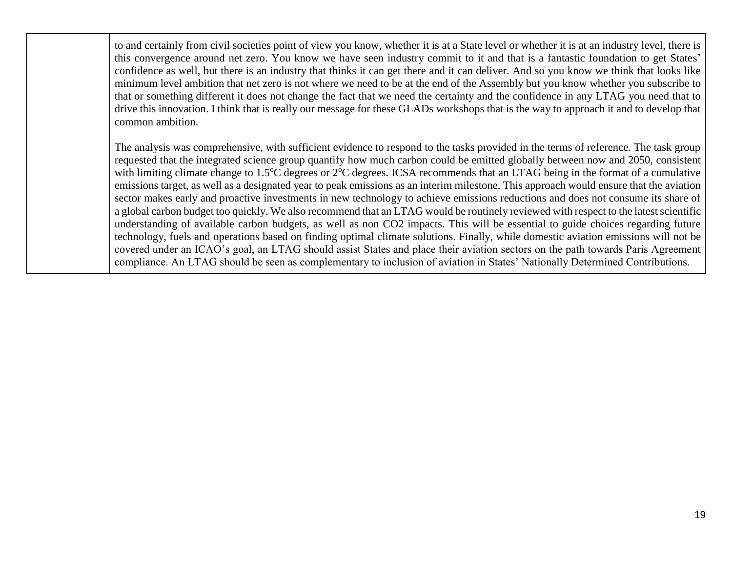to and certainly from civil societies point of view you know, whether it is at a State level or whether it is at an industry level, there is this convergence around net zero. You know we have seen industry commit to it and that is a fantastic foundation to get States' confidence as well, but there is an industry that thinks it can get there and it can deliver. And so you know we think that looks like minimum level ambition that net zero is not where we need to be at the end of the Assembly but you know whether you subscribe to that or something different it does not change the fact that we need the certainty and the confidence in any LTAG you need that to drive this innovation. I think that is really our message for these GLADs workshops that is the way to approach it and to develop that common ambition.

The analysis was comprehensive, with sufficient evidence to respond to the tasks provided in the terms of reference. The task group requested that the integrated science group quantify how much carbon could be emitted globally between now and 2050, consistent with limiting climate change to 1.5<sup>o</sup>C degrees or 2<sup>o</sup>C degrees. ICSA recommends that an LTAG being in the format of a cumulative emissions target, as well as a designated year to peak emissions as an interim milestone. This approach would ensure that the aviation sector makes early and proactive investments in new technology to achieve emissions reductions and does not consume its share of a global carbon budget too quickly. We also recommend that an LTAG would be routinely reviewed with respect to the latest scientific understanding of available carbon budgets, as well as non CO2 impacts. This will be essential to guide choices regarding future technology, fuels and operations based on finding optimal climate solutions. Finally, while domestic aviation emissions will not be covered under an ICAO's goal, an LTAG should assist States and place their aviation sectors on the path towards Paris Agreement compliance. An LTAG should be seen as complementary to inclusion of aviation in States' Nationally Determined Contributions.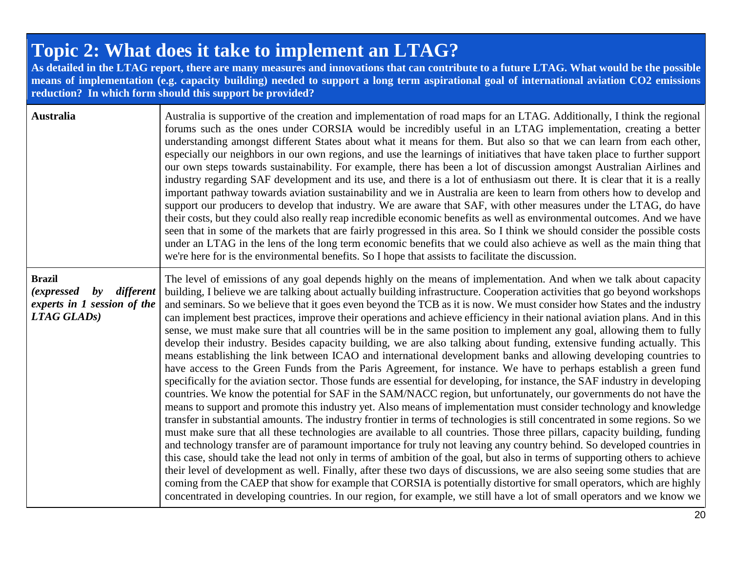## **Topic 2: What does it take to implement an LTAG?**

**As detailed in the LTAG report, there are many measures and innovations that can contribute to a future LTAG. What would be the possible means of implementation (e.g. capacity building) needed to support a long term aspirational goal of international aviation CO2 emissions reduction? In which form should this support be provided?**

| <b>Australia</b>                                                                                  | Australia is supportive of the creation and implementation of road maps for an LTAG. Additionally, I think the regional<br>forums such as the ones under CORSIA would be incredibly useful in an LTAG implementation, creating a better<br>understanding amongst different States about what it means for them. But also so that we can learn from each other,<br>especially our neighbors in our own regions, and use the learnings of initiatives that have taken place to further support<br>our own steps towards sustainability. For example, there has been a lot of discussion amongst Australian Airlines and<br>industry regarding SAF development and its use, and there is a lot of enthusiasm out there. It is clear that it is a really<br>important pathway towards aviation sustainability and we in Australia are keen to learn from others how to develop and<br>support our producers to develop that industry. We are aware that SAF, with other measures under the LTAG, do have<br>their costs, but they could also really reap incredible economic benefits as well as environmental outcomes. And we have<br>seen that in some of the markets that are fairly progressed in this area. So I think we should consider the possible costs<br>under an LTAG in the lens of the long term economic benefits that we could also achieve as well as the main thing that<br>we're here for is the environmental benefits. So I hope that assists to facilitate the discussion.                                                                                                                                                                                                                                                                                                                                                                                                                                                                                                                                                                                                                                                                                                                                                                                                   |
|---------------------------------------------------------------------------------------------------|--------------------------------------------------------------------------------------------------------------------------------------------------------------------------------------------------------------------------------------------------------------------------------------------------------------------------------------------------------------------------------------------------------------------------------------------------------------------------------------------------------------------------------------------------------------------------------------------------------------------------------------------------------------------------------------------------------------------------------------------------------------------------------------------------------------------------------------------------------------------------------------------------------------------------------------------------------------------------------------------------------------------------------------------------------------------------------------------------------------------------------------------------------------------------------------------------------------------------------------------------------------------------------------------------------------------------------------------------------------------------------------------------------------------------------------------------------------------------------------------------------------------------------------------------------------------------------------------------------------------------------------------------------------------------------------------------------------------------------------------------------------------------------------------------------------------------------------------------------------------------------------------------------------------------------------------------------------------------------------------------------------------------------------------------------------------------------------------------------------------------------------------------------------------------------------------------------------------------------------------------------------------------------------------------|
| <b>Brazil</b><br>by different<br><i>(expressed)</i><br>experts in 1 session of the<br>LTAG GLADS) | The level of emissions of any goal depends highly on the means of implementation. And when we talk about capacity<br>building, I believe we are talking about actually building infrastructure. Cooperation activities that go beyond workshops<br>and seminars. So we believe that it goes even beyond the TCB as it is now. We must consider how States and the industry<br>can implement best practices, improve their operations and achieve efficiency in their national aviation plans. And in this<br>sense, we must make sure that all countries will be in the same position to implement any goal, allowing them to fully<br>develop their industry. Besides capacity building, we are also talking about funding, extensive funding actually. This<br>means establishing the link between ICAO and international development banks and allowing developing countries to<br>have access to the Green Funds from the Paris Agreement, for instance. We have to perhaps establish a green fund<br>specifically for the aviation sector. Those funds are essential for developing, for instance, the SAF industry in developing<br>countries. We know the potential for SAF in the SAM/NACC region, but unfortunately, our governments do not have the<br>means to support and promote this industry yet. Also means of implementation must consider technology and knowledge<br>transfer in substantial amounts. The industry frontier in terms of technologies is still concentrated in some regions. So we<br>must make sure that all these technologies are available to all countries. Those three pillars, capacity building, funding<br>and technology transfer are of paramount importance for truly not leaving any country behind. So developed countries in<br>this case, should take the lead not only in terms of ambition of the goal, but also in terms of supporting others to achieve<br>their level of development as well. Finally, after these two days of discussions, we are also seeing some studies that are<br>coming from the CAEP that show for example that CORSIA is potentially distortive for small operators, which are highly<br>concentrated in developing countries. In our region, for example, we still have a lot of small operators and we know we |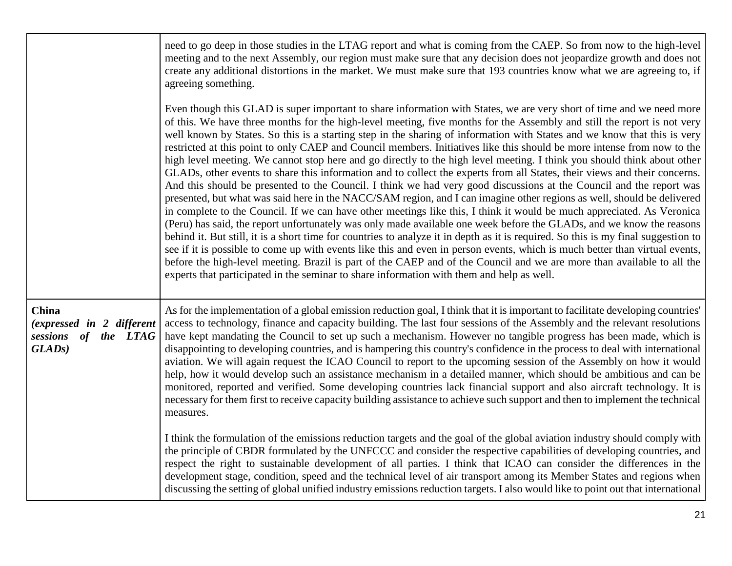|                                                                            | need to go deep in those studies in the LTAG report and what is coming from the CAEP. So from now to the high-level<br>meeting and to the next Assembly, our region must make sure that any decision does not jeopardize growth and does not<br>create any additional distortions in the market. We must make sure that 193 countries know what we are agreeing to, if<br>agreeing something.                                                                                                                                                                                                                                                                                                                                                                                                                                                                                                                                                                                                                                                                                                                                                                                                                                                                                                                                                                                                                                                                                                                                                                                                                                                                                                                                                                  |
|----------------------------------------------------------------------------|----------------------------------------------------------------------------------------------------------------------------------------------------------------------------------------------------------------------------------------------------------------------------------------------------------------------------------------------------------------------------------------------------------------------------------------------------------------------------------------------------------------------------------------------------------------------------------------------------------------------------------------------------------------------------------------------------------------------------------------------------------------------------------------------------------------------------------------------------------------------------------------------------------------------------------------------------------------------------------------------------------------------------------------------------------------------------------------------------------------------------------------------------------------------------------------------------------------------------------------------------------------------------------------------------------------------------------------------------------------------------------------------------------------------------------------------------------------------------------------------------------------------------------------------------------------------------------------------------------------------------------------------------------------------------------------------------------------------------------------------------------------|
|                                                                            | Even though this GLAD is super important to share information with States, we are very short of time and we need more<br>of this. We have three months for the high-level meeting, five months for the Assembly and still the report is not very<br>well known by States. So this is a starting step in the sharing of information with States and we know that this is very<br>restricted at this point to only CAEP and Council members. Initiatives like this should be more intense from now to the<br>high level meeting. We cannot stop here and go directly to the high level meeting. I think you should think about other<br>GLADs, other events to share this information and to collect the experts from all States, their views and their concerns.<br>And this should be presented to the Council. I think we had very good discussions at the Council and the report was<br>presented, but what was said here in the NACC/SAM region, and I can imagine other regions as well, should be delivered<br>in complete to the Council. If we can have other meetings like this, I think it would be much appreciated. As Veronica<br>(Peru) has said, the report unfortunately was only made available one week before the GLADs, and we know the reasons<br>behind it. But still, it is a short time for countries to analyze it in depth as it is required. So this is my final suggestion to<br>see if it is possible to come up with events like this and even in person events, which is much better than virtual events,<br>before the high-level meeting. Brazil is part of the CAEP and of the Council and we are more than available to all the<br>experts that participated in the seminar to share information with them and help as well. |
| <b>China</b><br>(expressed in 2 different<br>sessions of the LTAG<br>GLADs | As for the implementation of a global emission reduction goal, I think that it is important to facilitate developing countries'<br>access to technology, finance and capacity building. The last four sessions of the Assembly and the relevant resolutions<br>have kept mandating the Council to set up such a mechanism. However no tangible progress has been made, which is<br>disappointing to developing countries, and is hampering this country's confidence in the process to deal with international<br>aviation. We will again request the ICAO Council to report to the upcoming session of the Assembly on how it would<br>help, how it would develop such an assistance mechanism in a detailed manner, which should be ambitious and can be<br>monitored, reported and verified. Some developing countries lack financial support and also aircraft technology. It is<br>necessary for them first to receive capacity building assistance to achieve such support and then to implement the technical<br>measures.                                                                                                                                                                                                                                                                                                                                                                                                                                                                                                                                                                                                                                                                                                                              |
|                                                                            | I think the formulation of the emissions reduction targets and the goal of the global aviation industry should comply with<br>the principle of CBDR formulated by the UNFCCC and consider the respective capabilities of developing countries, and<br>respect the right to sustainable development of all parties. I think that ICAO can consider the differences in the<br>development stage, condition, speed and the technical level of air transport among its Member States and regions when<br>discussing the setting of global unified industry emissions reduction targets. I also would like to point out that international                                                                                                                                                                                                                                                                                                                                                                                                                                                                                                                                                                                                                                                                                                                                                                                                                                                                                                                                                                                                                                                                                                                          |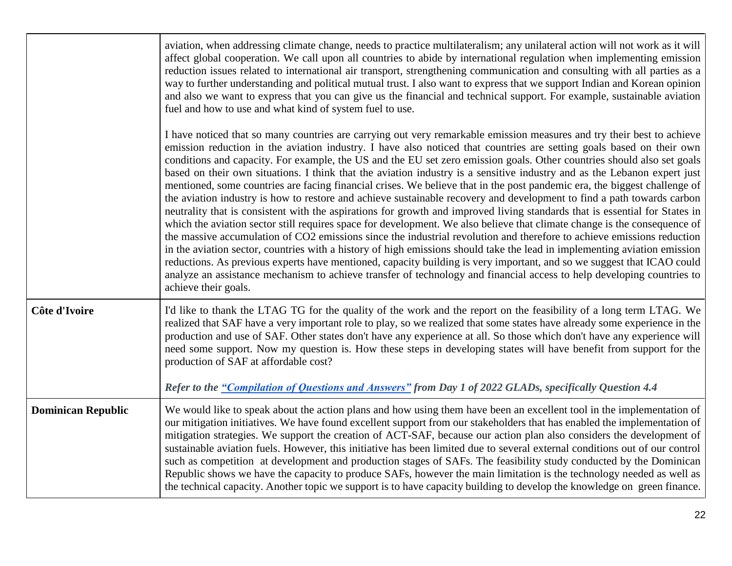|                           | aviation, when addressing climate change, needs to practice multilateralism; any unilateral action will not work as it will<br>affect global cooperation. We call upon all countries to abide by international regulation when implementing emission<br>reduction issues related to international air transport, strengthening communication and consulting with all parties as a<br>way to further understanding and political mutual trust. I also want to express that we support Indian and Korean opinion<br>and also we want to express that you can give us the financial and technical support. For example, sustainable aviation<br>fuel and how to use and what kind of system fuel to use.<br>I have noticed that so many countries are carrying out very remarkable emission measures and try their best to achieve<br>emission reduction in the aviation industry. I have also noticed that countries are setting goals based on their own                                                                                                                                                                                                                                                                                                                                                  |
|---------------------------|----------------------------------------------------------------------------------------------------------------------------------------------------------------------------------------------------------------------------------------------------------------------------------------------------------------------------------------------------------------------------------------------------------------------------------------------------------------------------------------------------------------------------------------------------------------------------------------------------------------------------------------------------------------------------------------------------------------------------------------------------------------------------------------------------------------------------------------------------------------------------------------------------------------------------------------------------------------------------------------------------------------------------------------------------------------------------------------------------------------------------------------------------------------------------------------------------------------------------------------------------------------------------------------------------------|
|                           | conditions and capacity. For example, the US and the EU set zero emission goals. Other countries should also set goals<br>based on their own situations. I think that the aviation industry is a sensitive industry and as the Lebanon expert just<br>mentioned, some countries are facing financial crises. We believe that in the post pandemic era, the biggest challenge of<br>the aviation industry is how to restore and achieve sustainable recovery and development to find a path towards carbon<br>neutrality that is consistent with the aspirations for growth and improved living standards that is essential for States in<br>which the aviation sector still requires space for development. We also believe that climate change is the consequence of<br>the massive accumulation of CO2 emissions since the industrial revolution and therefore to achieve emissions reduction<br>in the aviation sector, countries with a history of high emissions should take the lead in implementing aviation emission<br>reductions. As previous experts have mentioned, capacity building is very important, and so we suggest that ICAO could<br>analyze an assistance mechanism to achieve transfer of technology and financial access to help developing countries to<br>achieve their goals. |
| Côte d'Ivoire             | I'd like to thank the LTAG TG for the quality of the work and the report on the feasibility of a long term LTAG. We<br>realized that SAF have a very important role to play, so we realized that some states have already some experience in the<br>production and use of SAF. Other states don't have any experience at all. So those which don't have any experience will<br>need some support. Now my question is. How these steps in developing states will have benefit from support for the<br>production of SAF at affordable cost?<br>Refer to the "Compilation of Questions and Answers" from Day 1 of 2022 GLADs, specifically Question 4.4                                                                                                                                                                                                                                                                                                                                                                                                                                                                                                                                                                                                                                                    |
| <b>Dominican Republic</b> | We would like to speak about the action plans and how using them have been an excellent tool in the implementation of<br>our mitigation initiatives. We have found excellent support from our stakeholders that has enabled the implementation of<br>mitigation strategies. We support the creation of ACT-SAF, because our action plan also considers the development of<br>sustainable aviation fuels. However, this initiative has been limited due to several external conditions out of our control<br>such as competition at development and production stages of SAFs. The feasibility study conducted by the Dominican<br>Republic shows we have the capacity to produce SAFs, however the main limitation is the technology needed as well as<br>the technical capacity. Another topic we support is to have capacity building to develop the knowledge on green finance.                                                                                                                                                                                                                                                                                                                                                                                                                       |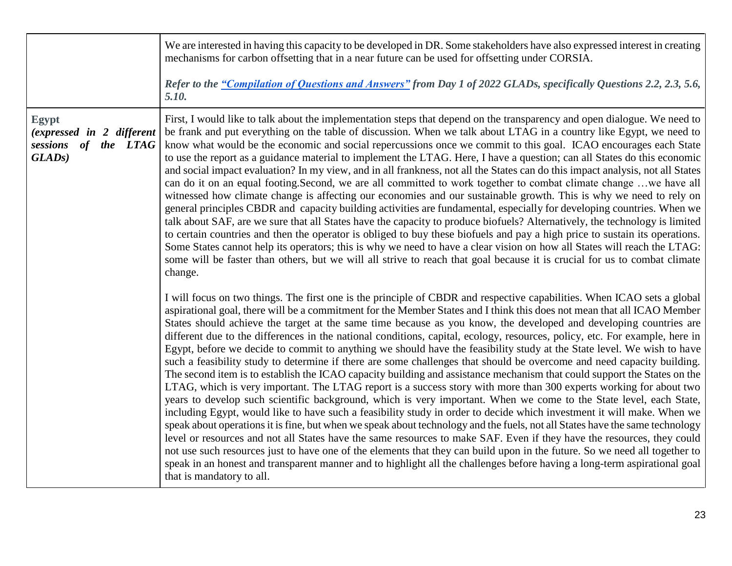|                                                                                             | We are interested in having this capacity to be developed in DR. Some stakeholders have also expressed interest in creating<br>mechanisms for carbon offsetting that in a near future can be used for offsetting under CORSIA.<br>Refer to the "Compilation of Questions and Answers" from Day 1 of 2022 GLADs, specifically Questions 2.2, 2.3, 5.6,<br>5.10.                                                                                                                                                                                                                                                                                                                                                                                                                                                                                                                                                                                                                                                                                                                                                                                                                                                                                                                                                                                                                                                                                                                                                                                                                                                                                                                                                                                                                                                 |
|---------------------------------------------------------------------------------------------|----------------------------------------------------------------------------------------------------------------------------------------------------------------------------------------------------------------------------------------------------------------------------------------------------------------------------------------------------------------------------------------------------------------------------------------------------------------------------------------------------------------------------------------------------------------------------------------------------------------------------------------------------------------------------------------------------------------------------------------------------------------------------------------------------------------------------------------------------------------------------------------------------------------------------------------------------------------------------------------------------------------------------------------------------------------------------------------------------------------------------------------------------------------------------------------------------------------------------------------------------------------------------------------------------------------------------------------------------------------------------------------------------------------------------------------------------------------------------------------------------------------------------------------------------------------------------------------------------------------------------------------------------------------------------------------------------------------------------------------------------------------------------------------------------------------|
| <b>Egypt</b><br>(expressed in 2 different<br>sessions<br>of the LTAG<br>GLAD <sub>s</sub> ) | First, I would like to talk about the implementation steps that depend on the transparency and open dialogue. We need to<br>be frank and put everything on the table of discussion. When we talk about LTAG in a country like Egypt, we need to<br>know what would be the economic and social repercussions once we commit to this goal. ICAO encourages each State<br>to use the report as a guidance material to implement the LTAG. Here, I have a question; can all States do this economic<br>and social impact evaluation? In my view, and in all frankness, not all the States can do this impact analysis, not all States<br>can do it on an equal footing. Second, we are all committed to work together to combat climate change we have all<br>witnessed how climate change is affecting our economies and our sustainable growth. This is why we need to rely on<br>general principles CBDR and capacity building activities are fundamental, especially for developing countries. When we<br>talk about SAF, are we sure that all States have the capacity to produce biofuels? Alternatively, the technology is limited<br>to certain countries and then the operator is obliged to buy these biofuels and pay a high price to sustain its operations.<br>Some States cannot help its operators; this is why we need to have a clear vision on how all States will reach the LTAG:<br>some will be faster than others, but we will all strive to reach that goal because it is crucial for us to combat climate<br>change.                                                                                                                                                                                                                                                                       |
|                                                                                             | I will focus on two things. The first one is the principle of CBDR and respective capabilities. When ICAO sets a global<br>aspirational goal, there will be a commitment for the Member States and I think this does not mean that all ICAO Member<br>States should achieve the target at the same time because as you know, the developed and developing countries are<br>different due to the differences in the national conditions, capital, ecology, resources, policy, etc. For example, here in<br>Egypt, before we decide to commit to anything we should have the feasibility study at the State level. We wish to have<br>such a feasibility study to determine if there are some challenges that should be overcome and need capacity building.<br>The second item is to establish the ICAO capacity building and assistance mechanism that could support the States on the<br>LTAG, which is very important. The LTAG report is a success story with more than 300 experts working for about two<br>years to develop such scientific background, which is very important. When we come to the State level, each State,<br>including Egypt, would like to have such a feasibility study in order to decide which investment it will make. When we<br>speak about operations it is fine, but when we speak about technology and the fuels, not all States have the same technology<br>level or resources and not all States have the same resources to make SAF. Even if they have the resources, they could<br>not use such resources just to have one of the elements that they can build upon in the future. So we need all together to<br>speak in an honest and transparent manner and to highlight all the challenges before having a long-term aspirational goal<br>that is mandatory to all. |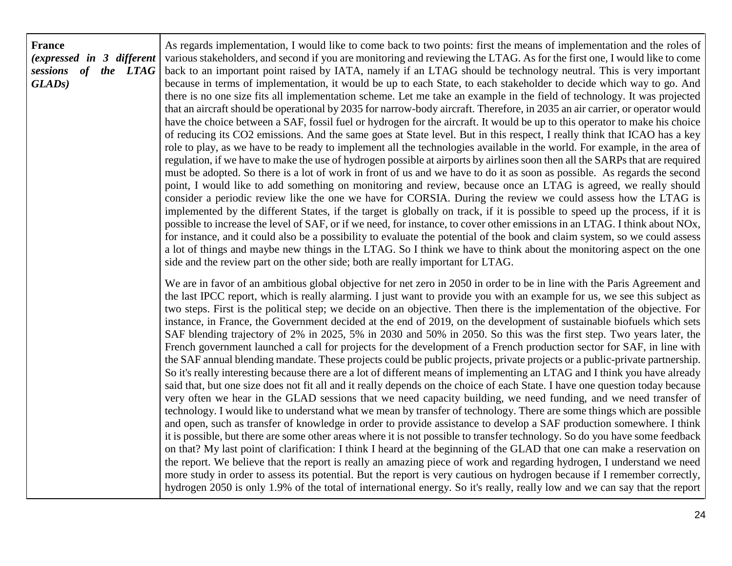## **France** *(expressed in 3 different sessions of the LTAG GLADs)*

As regards implementation, I would like to come back to two points: first the means of implementation and the roles of various stakeholders, and second if you are monitoring and reviewing the LTAG. As for the first one, I would like to come back to an important point raised by IATA, namely if an LTAG should be technology neutral. This is very important because in terms of implementation, it would be up to each State, to each stakeholder to decide which way to go. And there is no one size fits all implementation scheme. Let me take an example in the field of technology. It was projected that an aircraft should be operational by 2035 for narrow-body aircraft. Therefore, in 2035 an air carrier, or operator would have the choice between a SAF, fossil fuel or hydrogen for the aircraft. It would be up to this operator to make his choice of reducing its CO2 emissions. And the same goes at State level. But in this respect, I really think that ICAO has a key role to play, as we have to be ready to implement all the technologies available in the world. For example, in the area of regulation, if we have to make the use of hydrogen possible at airports by airlines soon then all the SARPs that are required must be adopted. So there is a lot of work in front of us and we have to do it as soon as possible. As regards the second point, I would like to add something on monitoring and review, because once an LTAG is agreed, we really should consider a periodic review like the one we have for CORSIA. During the review we could assess how the LTAG is implemented by the different States, if the target is globally on track, if it is possible to speed up the process, if it is possible to increase the level of SAF, or if we need, for instance, to cover other emissions in an LTAG. I think about NOx, for instance, and it could also be a possibility to evaluate the potential of the book and claim system, so we could assess a lot of things and maybe new things in the LTAG. So I think we have to think about the monitoring aspect on the one side and the review part on the other side; both are really important for LTAG.

We are in favor of an ambitious global objective for net zero in 2050 in order to be in line with the Paris Agreement and the last IPCC report, which is really alarming. I just want to provide you with an example for us, we see this subject as two steps. First is the political step; we decide on an objective. Then there is the implementation of the objective. For instance, in France, the Government decided at the end of 2019, on the development of sustainable biofuels which sets SAF blending trajectory of 2% in 2025, 5% in 2030 and 50% in 2050. So this was the first step. Two years later, the French government launched a call for projects for the development of a French production sector for SAF, in line with the SAF annual blending mandate. These projects could be public projects, private projects or a public-private partnership. So it's really interesting because there are a lot of different means of implementing an LTAG and I think you have already said that, but one size does not fit all and it really depends on the choice of each State. I have one question today because very often we hear in the GLAD sessions that we need capacity building, we need funding, and we need transfer of technology. I would like to understand what we mean by transfer of technology. There are some things which are possible and open, such as transfer of knowledge in order to provide assistance to develop a SAF production somewhere. I think it is possible, but there are some other areas where it is not possible to transfer technology. So do you have some feedback on that? My last point of clarification: I think I heard at the beginning of the GLAD that one can make a reservation on the report. We believe that the report is really an amazing piece of work and regarding hydrogen, I understand we need more study in order to assess its potential. But the report is very cautious on hydrogen because if I remember correctly, hydrogen 2050 is only 1.9% of the total of international energy. So it's really, really low and we can say that the report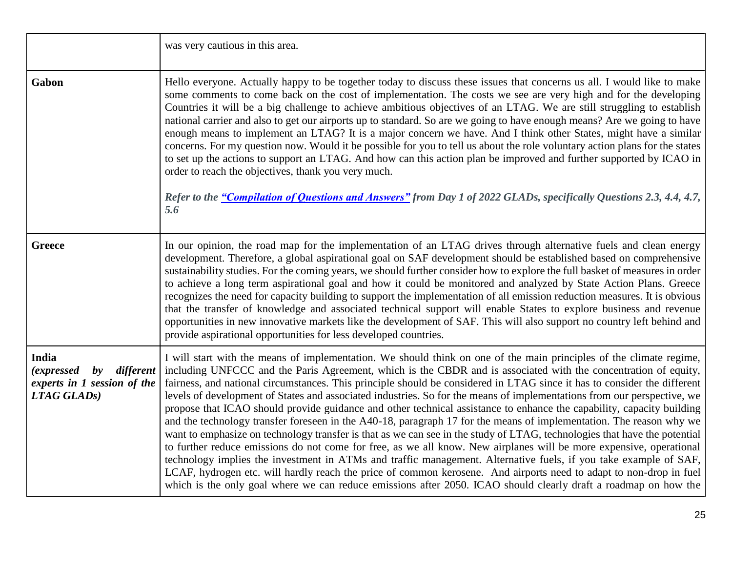|                                                                                                          | was very cautious in this area.                                                                                                                                                                                                                                                                                                                                                                                                                                                                                                                                                                                                                                                                                                                                                                                                                                                                                                                                                                                                                                                                                                                                                                                                                                                                                                                                |
|----------------------------------------------------------------------------------------------------------|----------------------------------------------------------------------------------------------------------------------------------------------------------------------------------------------------------------------------------------------------------------------------------------------------------------------------------------------------------------------------------------------------------------------------------------------------------------------------------------------------------------------------------------------------------------------------------------------------------------------------------------------------------------------------------------------------------------------------------------------------------------------------------------------------------------------------------------------------------------------------------------------------------------------------------------------------------------------------------------------------------------------------------------------------------------------------------------------------------------------------------------------------------------------------------------------------------------------------------------------------------------------------------------------------------------------------------------------------------------|
| Gabon                                                                                                    | Hello everyone. Actually happy to be together today to discuss these issues that concerns us all. I would like to make<br>some comments to come back on the cost of implementation. The costs we see are very high and for the developing<br>Countries it will be a big challenge to achieve ambitious objectives of an LTAG. We are still struggling to establish<br>national carrier and also to get our airports up to standard. So are we going to have enough means? Are we going to have<br>enough means to implement an LTAG? It is a major concern we have. And I think other States, might have a similar<br>concerns. For my question now. Would it be possible for you to tell us about the role voluntary action plans for the states<br>to set up the actions to support an LTAG. And how can this action plan be improved and further supported by ICAO in<br>order to reach the objectives, thank you very much.<br>Refer to the "Compilation of Questions and Answers" from Day 1 of 2022 GLADs, specifically Questions 2.3, 4.4, 4.7,<br>5.6                                                                                                                                                                                                                                                                                                  |
| <b>Greece</b>                                                                                            | In our opinion, the road map for the implementation of an LTAG drives through alternative fuels and clean energy<br>development. Therefore, a global aspirational goal on SAF development should be established based on comprehensive<br>sustainability studies. For the coming years, we should further consider how to explore the full basket of measures in order<br>to achieve a long term aspirational goal and how it could be monitored and analyzed by State Action Plans. Greece<br>recognizes the need for capacity building to support the implementation of all emission reduction measures. It is obvious<br>that the transfer of knowledge and associated technical support will enable States to explore business and revenue<br>opportunities in new innovative markets like the development of SAF. This will also support no country left behind and<br>provide aspirational opportunities for less developed countries.                                                                                                                                                                                                                                                                                                                                                                                                                   |
| India<br>different<br><i>(expressed)</i><br>$\mathbf{b}$ y<br>experts in 1 session of the<br>LTAG GLADS) | I will start with the means of implementation. We should think on one of the main principles of the climate regime,<br>including UNFCCC and the Paris Agreement, which is the CBDR and is associated with the concentration of equity,<br>fairness, and national circumstances. This principle should be considered in LTAG since it has to consider the different<br>levels of development of States and associated industries. So for the means of implementations from our perspective, we<br>propose that ICAO should provide guidance and other technical assistance to enhance the capability, capacity building<br>and the technology transfer foreseen in the A40-18, paragraph 17 for the means of implementation. The reason why we<br>want to emphasize on technology transfer is that as we can see in the study of LTAG, technologies that have the potential<br>to further reduce emissions do not come for free, as we all know. New airplanes will be more expensive, operational<br>technology implies the investment in ATMs and traffic management. Alternative fuels, if you take example of SAF,<br>LCAF, hydrogen etc. will hardly reach the price of common kerosene. And airports need to adapt to non-drop in fuel<br>which is the only goal where we can reduce emissions after 2050. ICAO should clearly draft a roadmap on how the |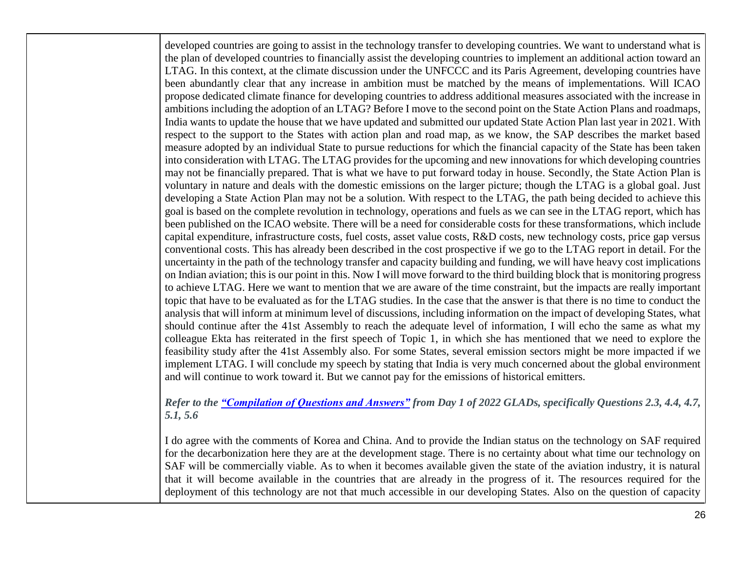developed countries are going to assist in the technology transfer to developing countries. We want to understand what is the plan of developed countries to financially assist the developing countries to implement an additional action toward an LTAG. In this context, at the climate discussion under the UNFCCC and its Paris Agreement, developing countries have been abundantly clear that any increase in ambition must be matched by the means of implementations. Will ICAO propose dedicated climate finance for developing countries to address additional measures associated with the increase in ambitions including the adoption of an LTAG? Before I move to the second point on the State Action Plans and roadmaps, India wants to update the house that we have updated and submitted our updated State Action Plan last year in 2021. With respect to the support to the States with action plan and road map, as we know, the SAP describes the market based measure adopted by an individual State to pursue reductions for which the financial capacity of the State has been taken into consideration with LTAG. The LTAG provides for the upcoming and new innovations for which developing countries may not be financially prepared. That is what we have to put forward today in house. Secondly, the State Action Plan is voluntary in nature and deals with the domestic emissions on the larger picture; though the LTAG is a global goal. Just developing a State Action Plan may not be a solution. With respect to the LTAG, the path being decided to achieve this goal is based on the complete revolution in technology, operations and fuels as we can see in the LTAG report, which has been published on the ICAO website. There will be a need for considerable costs for these transformations, which include capital expenditure, infrastructure costs, fuel costs, asset value costs, R&D costs, new technology costs, price gap versus conventional costs. This has already been described in the cost prospective if we go to the LTAG report in detail. For the uncertainty in the path of the technology transfer and capacity building and funding, we will have heavy cost implications on Indian aviation; this is our point in this. Now I will move forward to the third building block that is monitoring progress to achieve LTAG. Here we want to mention that we are aware of the time constraint, but the impacts are really important topic that have to be evaluated as for the LTAG studies. In the case that the answer is that there is no time to conduct the analysis that will inform at minimum level of discussions, including information on the impact of developing States, what should continue after the 41st Assembly to reach the adequate level of information, I will echo the same as what my colleague Ekta has reiterated in the first speech of Topic 1, in which she has mentioned that we need to explore the feasibility study after the 41st Assembly also. For some States, several emission sectors might be more impacted if we implement LTAG. I will conclude my speech by stating that India is very much concerned about the global environment and will continue to work toward it. But we cannot pay for the emissions of historical emitters.

*Refer to the ["Compilation of Questions and Answers"](https://www.icao.int/Meetings/2022-ICAO-LTAG-GLADS/Documents/LTAG_GLADS_2022_Compilation_Questions_and_Answers.pdf) from Day 1 of 2022 GLADs, specifically Questions 2.3, 4.4, 4.7, 5.1, 5.6*

I do agree with the comments of Korea and China. And to provide the Indian status on the technology on SAF required for the decarbonization here they are at the development stage. There is no certainty about what time our technology on SAF will be commercially viable. As to when it becomes available given the state of the aviation industry, it is natural that it will become available in the countries that are already in the progress of it. The resources required for the deployment of this technology are not that much accessible in our developing States. Also on the question of capacity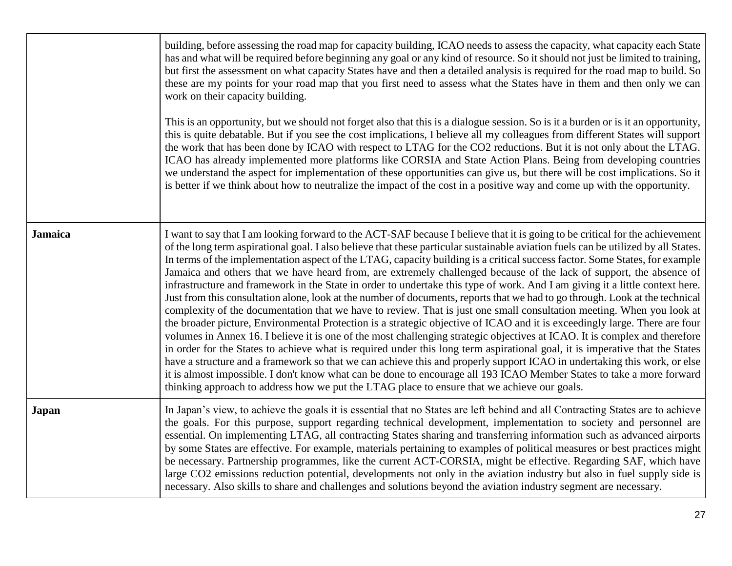|                | building, before assessing the road map for capacity building, ICAO needs to assess the capacity, what capacity each State<br>has and what will be required before beginning any goal or any kind of resource. So it should not just be limited to training,<br>but first the assessment on what capacity States have and then a detailed analysis is required for the road map to build. So<br>these are my points for your road map that you first need to assess what the States have in them and then only we can<br>work on their capacity building.<br>This is an opportunity, but we should not forget also that this is a dialogue session. So is it a burden or is it an opportunity,<br>this is quite debatable. But if you see the cost implications, I believe all my colleagues from different States will support<br>the work that has been done by ICAO with respect to LTAG for the CO2 reductions. But it is not only about the LTAG.<br>ICAO has already implemented more platforms like CORSIA and State Action Plans. Being from developing countries<br>we understand the aspect for implementation of these opportunities can give us, but there will be cost implications. So it<br>is better if we think about how to neutralize the impact of the cost in a positive way and come up with the opportunity.                                                                                                                                                                                                                                                                                                                               |
|----------------|-------------------------------------------------------------------------------------------------------------------------------------------------------------------------------------------------------------------------------------------------------------------------------------------------------------------------------------------------------------------------------------------------------------------------------------------------------------------------------------------------------------------------------------------------------------------------------------------------------------------------------------------------------------------------------------------------------------------------------------------------------------------------------------------------------------------------------------------------------------------------------------------------------------------------------------------------------------------------------------------------------------------------------------------------------------------------------------------------------------------------------------------------------------------------------------------------------------------------------------------------------------------------------------------------------------------------------------------------------------------------------------------------------------------------------------------------------------------------------------------------------------------------------------------------------------------------------------------------------------------------------------------------------------------|
| <b>Jamaica</b> | I want to say that I am looking forward to the ACT-SAF because I believe that it is going to be critical for the achievement<br>of the long term aspirational goal. I also believe that these particular sustainable aviation fuels can be utilized by all States.<br>In terms of the implementation aspect of the LTAG, capacity building is a critical success factor. Some States, for example<br>Jamaica and others that we have heard from, are extremely challenged because of the lack of support, the absence of<br>infrastructure and framework in the State in order to undertake this type of work. And I am giving it a little context here.<br>Just from this consultation alone, look at the number of documents, reports that we had to go through. Look at the technical<br>complexity of the documentation that we have to review. That is just one small consultation meeting. When you look at<br>the broader picture, Environmental Protection is a strategic objective of ICAO and it is exceedingly large. There are four<br>volumes in Annex 16. I believe it is one of the most challenging strategic objectives at ICAO. It is complex and therefore<br>in order for the States to achieve what is required under this long term aspirational goal, it is imperative that the States<br>have a structure and a framework so that we can achieve this and properly support ICAO in undertaking this work, or else<br>it is almost impossible. I don't know what can be done to encourage all 193 ICAO Member States to take a more forward<br>thinking approach to address how we put the LTAG place to ensure that we achieve our goals. |
| <b>Japan</b>   | In Japan's view, to achieve the goals it is essential that no States are left behind and all Contracting States are to achieve<br>the goals. For this purpose, support regarding technical development, implementation to society and personnel are<br>essential. On implementing LTAG, all contracting States sharing and transferring information such as advanced airports<br>by some States are effective. For example, materials pertaining to examples of political measures or best practices might<br>be necessary. Partnership programmes, like the current ACT-CORSIA, might be effective. Regarding SAF, which have<br>large CO2 emissions reduction potential, developments not only in the aviation industry but also in fuel supply side is<br>necessary. Also skills to share and challenges and solutions beyond the aviation industry segment are necessary.                                                                                                                                                                                                                                                                                                                                                                                                                                                                                                                                                                                                                                                                                                                                                                                     |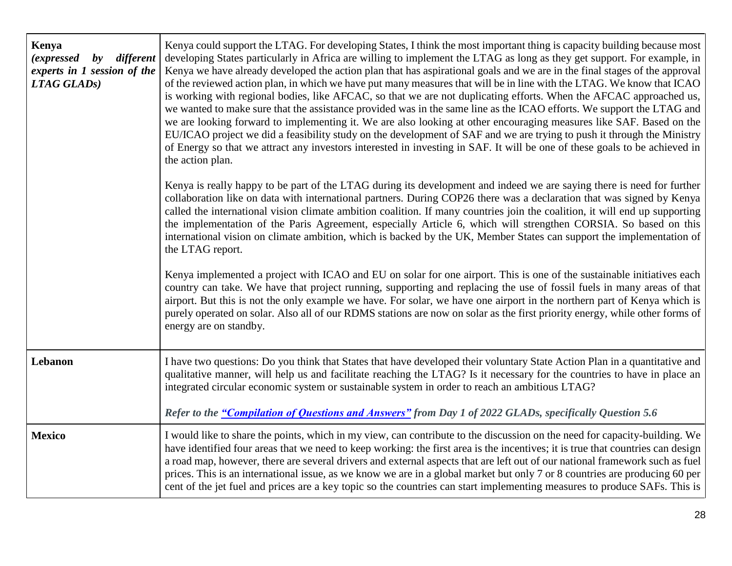| Kenya<br>(expressed by different<br>experts in 1 session of the<br>LTAG GLADS) | Kenya could support the LTAG. For developing States, I think the most important thing is capacity building because most<br>developing States particularly in Africa are willing to implement the LTAG as long as they get support. For example, in<br>Kenya we have already developed the action plan that has aspirational goals and we are in the final stages of the approval<br>of the reviewed action plan, in which we have put many measures that will be in line with the LTAG. We know that ICAO<br>is working with regional bodies, like AFCAC, so that we are not duplicating efforts. When the AFCAC approached us,<br>we wanted to make sure that the assistance provided was in the same line as the ICAO efforts. We support the LTAG and<br>we are looking forward to implementing it. We are also looking at other encouraging measures like SAF. Based on the<br>EU/ICAO project we did a feasibility study on the development of SAF and we are trying to push it through the Ministry<br>of Energy so that we attract any investors interested in investing in SAF. It will be one of these goals to be achieved in<br>the action plan. |
|--------------------------------------------------------------------------------|-------------------------------------------------------------------------------------------------------------------------------------------------------------------------------------------------------------------------------------------------------------------------------------------------------------------------------------------------------------------------------------------------------------------------------------------------------------------------------------------------------------------------------------------------------------------------------------------------------------------------------------------------------------------------------------------------------------------------------------------------------------------------------------------------------------------------------------------------------------------------------------------------------------------------------------------------------------------------------------------------------------------------------------------------------------------------------------------------------------------------------------------------------------|
|                                                                                | Kenya is really happy to be part of the LTAG during its development and indeed we are saying there is need for further<br>collaboration like on data with international partners. During COP26 there was a declaration that was signed by Kenya<br>called the international vision climate ambition coalition. If many countries join the coalition, it will end up supporting<br>the implementation of the Paris Agreement, especially Article 6, which will strengthen CORSIA. So based on this<br>international vision on climate ambition, which is backed by the UK, Member States can support the implementation of<br>the LTAG report.                                                                                                                                                                                                                                                                                                                                                                                                                                                                                                               |
|                                                                                | Kenya implemented a project with ICAO and EU on solar for one airport. This is one of the sustainable initiatives each<br>country can take. We have that project running, supporting and replacing the use of fossil fuels in many areas of that<br>airport. But this is not the only example we have. For solar, we have one airport in the northern part of Kenya which is<br>purely operated on solar. Also all of our RDMS stations are now on solar as the first priority energy, while other forms of<br>energy are on standby.                                                                                                                                                                                                                                                                                                                                                                                                                                                                                                                                                                                                                       |
| Lebanon                                                                        | I have two questions: Do you think that States that have developed their voluntary State Action Plan in a quantitative and<br>qualitative manner, will help us and facilitate reaching the LTAG? Is it necessary for the countries to have in place an<br>integrated circular economic system or sustainable system in order to reach an ambitious LTAG?                                                                                                                                                                                                                                                                                                                                                                                                                                                                                                                                                                                                                                                                                                                                                                                                    |
|                                                                                | Refer to the "Compilation of Questions and Answers" from Day 1 of 2022 GLADs, specifically Question 5.6                                                                                                                                                                                                                                                                                                                                                                                                                                                                                                                                                                                                                                                                                                                                                                                                                                                                                                                                                                                                                                                     |
| <b>Mexico</b>                                                                  | I would like to share the points, which in my view, can contribute to the discussion on the need for capacity-building. We<br>have identified four areas that we need to keep working: the first area is the incentives; it is true that countries can design<br>a road map, however, there are several drivers and external aspects that are left out of our national framework such as fuel<br>prices. This is an international issue, as we know we are in a global market but only 7 or 8 countries are producing 60 per<br>cent of the jet fuel and prices are a key topic so the countries can start implementing measures to produce SAFs. This is                                                                                                                                                                                                                                                                                                                                                                                                                                                                                                   |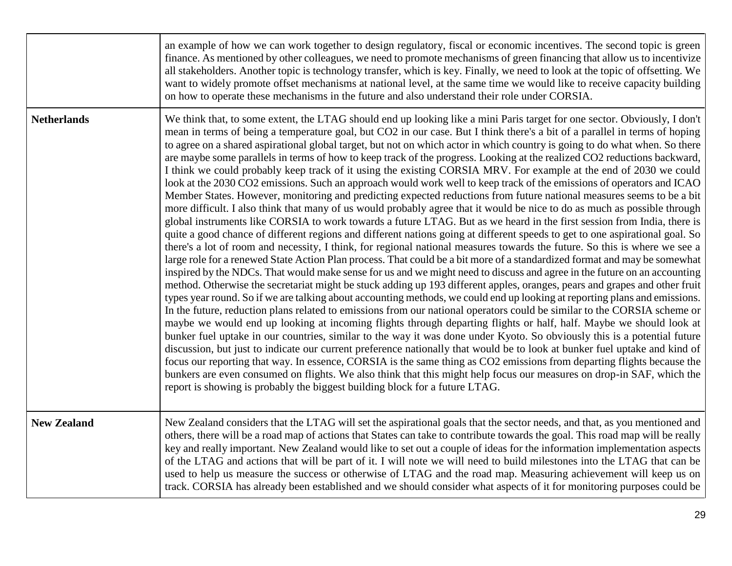|                    | an example of how we can work together to design regulatory, fiscal or economic incentives. The second topic is green<br>finance. As mentioned by other colleagues, we need to promote mechanisms of green financing that allow us to incentivize<br>all stakeholders. Another topic is technology transfer, which is key. Finally, we need to look at the topic of offsetting. We<br>want to widely promote offset mechanisms at national level, at the same time we would like to receive capacity building<br>on how to operate these mechanisms in the future and also understand their role under CORSIA.                                                                                                                                                                                                                                                                                                                                                                                                                                                                                                                                                                                                                                                                                                                                                                                                                                                                                                                                                                                                                                                                                                                                                                                                                                                                                                                                                                                                                                                                                                                                                                                                                                                                                                                                                                                                                                                                                                                                                                                                                                                                                                                                                                     |
|--------------------|------------------------------------------------------------------------------------------------------------------------------------------------------------------------------------------------------------------------------------------------------------------------------------------------------------------------------------------------------------------------------------------------------------------------------------------------------------------------------------------------------------------------------------------------------------------------------------------------------------------------------------------------------------------------------------------------------------------------------------------------------------------------------------------------------------------------------------------------------------------------------------------------------------------------------------------------------------------------------------------------------------------------------------------------------------------------------------------------------------------------------------------------------------------------------------------------------------------------------------------------------------------------------------------------------------------------------------------------------------------------------------------------------------------------------------------------------------------------------------------------------------------------------------------------------------------------------------------------------------------------------------------------------------------------------------------------------------------------------------------------------------------------------------------------------------------------------------------------------------------------------------------------------------------------------------------------------------------------------------------------------------------------------------------------------------------------------------------------------------------------------------------------------------------------------------------------------------------------------------------------------------------------------------------------------------------------------------------------------------------------------------------------------------------------------------------------------------------------------------------------------------------------------------------------------------------------------------------------------------------------------------------------------------------------------------------------------------------------------------------------------------------------------------|
| <b>Netherlands</b> | We think that, to some extent, the LTAG should end up looking like a mini Paris target for one sector. Obviously, I don't<br>mean in terms of being a temperature goal, but CO2 in our case. But I think there's a bit of a parallel in terms of hoping<br>to agree on a shared aspirational global target, but not on which actor in which country is going to do what when. So there<br>are maybe some parallels in terms of how to keep track of the progress. Looking at the realized CO2 reductions backward,<br>I think we could probably keep track of it using the existing CORSIA MRV. For example at the end of 2030 we could<br>look at the 2030 CO2 emissions. Such an approach would work well to keep track of the emissions of operators and ICAO<br>Member States. However, monitoring and predicting expected reductions from future national measures seems to be a bit<br>more difficult. I also think that many of us would probably agree that it would be nice to do as much as possible through<br>global instruments like CORSIA to work towards a future LTAG. But as we heard in the first session from India, there is<br>quite a good chance of different regions and different nations going at different speeds to get to one aspirational goal. So<br>there's a lot of room and necessity, I think, for regional national measures towards the future. So this is where we see a<br>large role for a renewed State Action Plan process. That could be a bit more of a standardized format and may be somewhat<br>inspired by the NDCs. That would make sense for us and we might need to discuss and agree in the future on an accounting<br>method. Otherwise the secretariat might be stuck adding up 193 different apples, oranges, pears and grapes and other fruit<br>types year round. So if we are talking about accounting methods, we could end up looking at reporting plans and emissions.<br>In the future, reduction plans related to emissions from our national operators could be similar to the CORSIA scheme or<br>maybe we would end up looking at incoming flights through departing flights or half, half. Maybe we should look at<br>bunker fuel uptake in our countries, similar to the way it was done under Kyoto. So obviously this is a potential future<br>discussion, but just to indicate our current preference nationally that would be to look at bunker fuel uptake and kind of<br>focus our reporting that way. In essence, CORSIA is the same thing as CO2 emissions from departing flights because the<br>bunkers are even consumed on flights. We also think that this might help focus our measures on drop-in SAF, which the<br>report is showing is probably the biggest building block for a future LTAG. |
| <b>New Zealand</b> | New Zealand considers that the LTAG will set the aspirational goals that the sector needs, and that, as you mentioned and<br>others, there will be a road map of actions that States can take to contribute towards the goal. This road map will be really<br>key and really important. New Zealand would like to set out a couple of ideas for the information implementation aspects<br>of the LTAG and actions that will be part of it. I will note we will need to build milestones into the LTAG that can be<br>used to help us measure the success or otherwise of LTAG and the road map. Measuring achievement will keep us on<br>track. CORSIA has already been established and we should consider what aspects of it for monitoring purposes could be                                                                                                                                                                                                                                                                                                                                                                                                                                                                                                                                                                                                                                                                                                                                                                                                                                                                                                                                                                                                                                                                                                                                                                                                                                                                                                                                                                                                                                                                                                                                                                                                                                                                                                                                                                                                                                                                                                                                                                                                                     |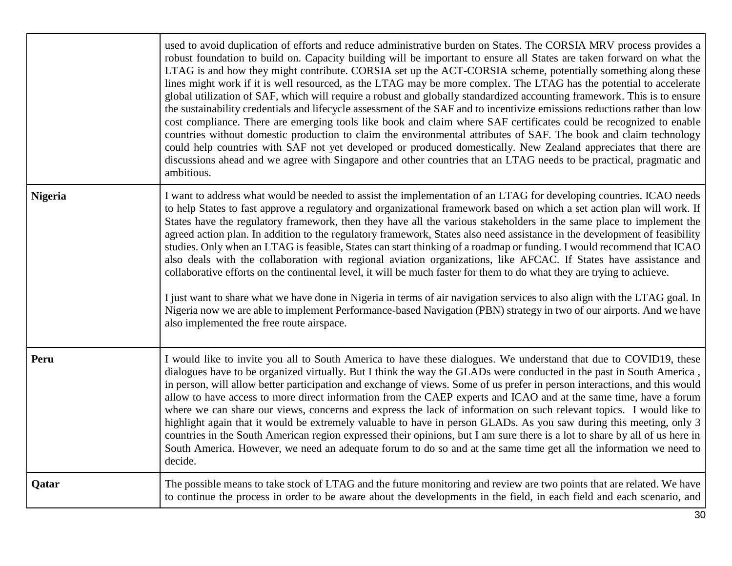|                | used to avoid duplication of efforts and reduce administrative burden on States. The CORSIA MRV process provides a<br>robust foundation to build on. Capacity building will be important to ensure all States are taken forward on what the<br>LTAG is and how they might contribute. CORSIA set up the ACT-CORSIA scheme, potentially something along these<br>lines might work if it is well resourced, as the LTAG may be more complex. The LTAG has the potential to accelerate<br>global utilization of SAF, which will require a robust and globally standardized accounting framework. This is to ensure<br>the sustainability credentials and lifecycle assessment of the SAF and to incentivize emissions reductions rather than low<br>cost compliance. There are emerging tools like book and claim where SAF certificates could be recognized to enable<br>countries without domestic production to claim the environmental attributes of SAF. The book and claim technology<br>could help countries with SAF not yet developed or produced domestically. New Zealand appreciates that there are<br>discussions ahead and we agree with Singapore and other countries that an LTAG needs to be practical, pragmatic and<br>ambitious. |
|----------------|---------------------------------------------------------------------------------------------------------------------------------------------------------------------------------------------------------------------------------------------------------------------------------------------------------------------------------------------------------------------------------------------------------------------------------------------------------------------------------------------------------------------------------------------------------------------------------------------------------------------------------------------------------------------------------------------------------------------------------------------------------------------------------------------------------------------------------------------------------------------------------------------------------------------------------------------------------------------------------------------------------------------------------------------------------------------------------------------------------------------------------------------------------------------------------------------------------------------------------------------------|
| <b>Nigeria</b> | I want to address what would be needed to assist the implementation of an LTAG for developing countries. ICAO needs<br>to help States to fast approve a regulatory and organizational framework based on which a set action plan will work. If<br>States have the regulatory framework, then they have all the various stakeholders in the same place to implement the<br>agreed action plan. In addition to the regulatory framework, States also need assistance in the development of feasibility<br>studies. Only when an LTAG is feasible, States can start thinking of a roadmap or funding. I would recommend that ICAO<br>also deals with the collaboration with regional aviation organizations, like AFCAC. If States have assistance and<br>collaborative efforts on the continental level, it will be much faster for them to do what they are trying to achieve.<br>I just want to share what we have done in Nigeria in terms of air navigation services to also align with the LTAG goal. In<br>Nigeria now we are able to implement Performance-based Navigation (PBN) strategy in two of our airports. And we have<br>also implemented the free route airspace.                                                                  |
| Peru           | I would like to invite you all to South America to have these dialogues. We understand that due to COVID19, these<br>dialogues have to be organized virtually. But I think the way the GLADs were conducted in the past in South America,<br>in person, will allow better participation and exchange of views. Some of us prefer in person interactions, and this would<br>allow to have access to more direct information from the CAEP experts and ICAO and at the same time, have a forum<br>where we can share our views, concerns and express the lack of information on such relevant topics. I would like to<br>highlight again that it would be extremely valuable to have in person GLADs. As you saw during this meeting, only 3<br>countries in the South American region expressed their opinions, but I am sure there is a lot to share by all of us here in<br>South America. However, we need an adequate forum to do so and at the same time get all the information we need to<br>decide.                                                                                                                                                                                                                                        |
| Qatar          | The possible means to take stock of LTAG and the future monitoring and review are two points that are related. We have<br>to continue the process in order to be aware about the developments in the field, in each field and each scenario, and                                                                                                                                                                                                                                                                                                                                                                                                                                                                                                                                                                                                                                                                                                                                                                                                                                                                                                                                                                                                  |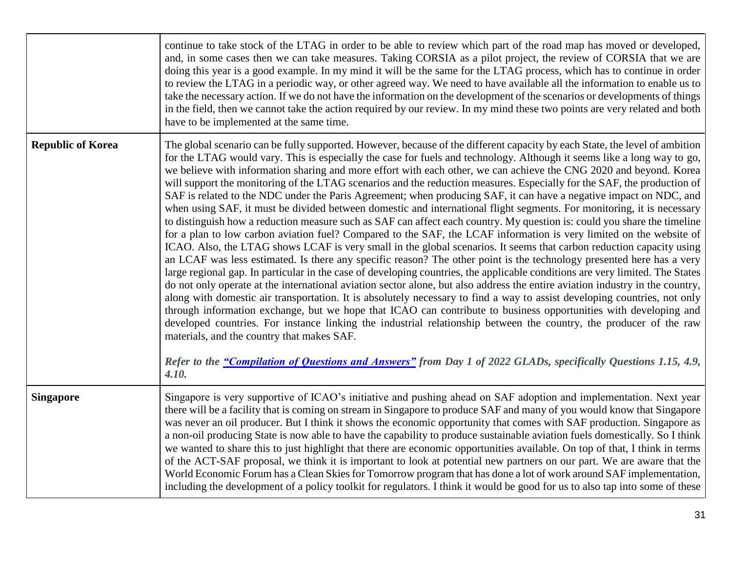|                          | continue to take stock of the LTAG in order to be able to review which part of the road map has moved or developed,<br>and, in some cases then we can take measures. Taking CORSIA as a pilot project, the review of CORSIA that we are<br>doing this year is a good example. In my mind it will be the same for the LTAG process, which has to continue in order<br>to review the LTAG in a periodic way, or other agreed way. We need to have available all the information to enable us to<br>take the necessary action. If we do not have the information on the development of the scenarios or developments of things<br>in the field, then we cannot take the action required by our review. In my mind these two points are very related and both<br>have to be implemented at the same time.                                                                                                                                                                                                                                                                                                                                                                                                                                                                                                                                                                                                                                                                                                                                                                                                                                                                                                                                                                                                                                                                                                                                                                                                                                                                          |
|--------------------------|--------------------------------------------------------------------------------------------------------------------------------------------------------------------------------------------------------------------------------------------------------------------------------------------------------------------------------------------------------------------------------------------------------------------------------------------------------------------------------------------------------------------------------------------------------------------------------------------------------------------------------------------------------------------------------------------------------------------------------------------------------------------------------------------------------------------------------------------------------------------------------------------------------------------------------------------------------------------------------------------------------------------------------------------------------------------------------------------------------------------------------------------------------------------------------------------------------------------------------------------------------------------------------------------------------------------------------------------------------------------------------------------------------------------------------------------------------------------------------------------------------------------------------------------------------------------------------------------------------------------------------------------------------------------------------------------------------------------------------------------------------------------------------------------------------------------------------------------------------------------------------------------------------------------------------------------------------------------------------------------------------------------------------------------------------------------------------|
| <b>Republic of Korea</b> | The global scenario can be fully supported. However, because of the different capacity by each State, the level of ambition<br>for the LTAG would vary. This is especially the case for fuels and technology. Although it seems like a long way to go,<br>we believe with information sharing and more effort with each other, we can achieve the CNG 2020 and beyond. Korea<br>will support the monitoring of the LTAG scenarios and the reduction measures. Especially for the SAF, the production of<br>SAF is related to the NDC under the Paris Agreement; when producing SAF, it can have a negative impact on NDC, and<br>when using SAF, it must be divided between domestic and international flight segments. For monitoring, it is necessary<br>to distinguish how a reduction measure such as SAF can affect each country. My question is: could you share the timeline<br>for a plan to low carbon aviation fuel? Compared to the SAF, the LCAF information is very limited on the website of<br>ICAO. Also, the LTAG shows LCAF is very small in the global scenarios. It seems that carbon reduction capacity using<br>an LCAF was less estimated. Is there any specific reason? The other point is the technology presented here has a very<br>large regional gap. In particular in the case of developing countries, the applicable conditions are very limited. The States<br>do not only operate at the international aviation sector alone, but also address the entire aviation industry in the country,<br>along with domestic air transportation. It is absolutely necessary to find a way to assist developing countries, not only<br>through information exchange, but we hope that ICAO can contribute to business opportunities with developing and<br>developed countries. For instance linking the industrial relationship between the country, the producer of the raw<br>materials, and the country that makes SAF.<br>Refer to the "Compilation of Questions and Answers" from Day 1 of 2022 GLADs, specifically Questions 1.15, 4.9,<br>4.10. |
| <b>Singapore</b>         | Singapore is very supportive of ICAO's initiative and pushing ahead on SAF adoption and implementation. Next year<br>there will be a facility that is coming on stream in Singapore to produce SAF and many of you would know that Singapore<br>was never an oil producer. But I think it shows the economic opportunity that comes with SAF production. Singapore as<br>a non-oil producing State is now able to have the capability to produce sustainable aviation fuels domestically. So I think<br>we wanted to share this to just highlight that there are economic opportunities available. On top of that, I think in terms<br>of the ACT-SAF proposal, we think it is important to look at potential new partners on our part. We are aware that the<br>World Economic Forum has a Clean Skies for Tomorrow program that has done a lot of work around SAF implementation,<br>including the development of a policy toolkit for regulators. I think it would be good for us to also tap into some of these                                                                                                                                                                                                                                                                                                                                                                                                                                                                                                                                                                                                                                                                                                                                                                                                                                                                                                                                                                                                                                                            |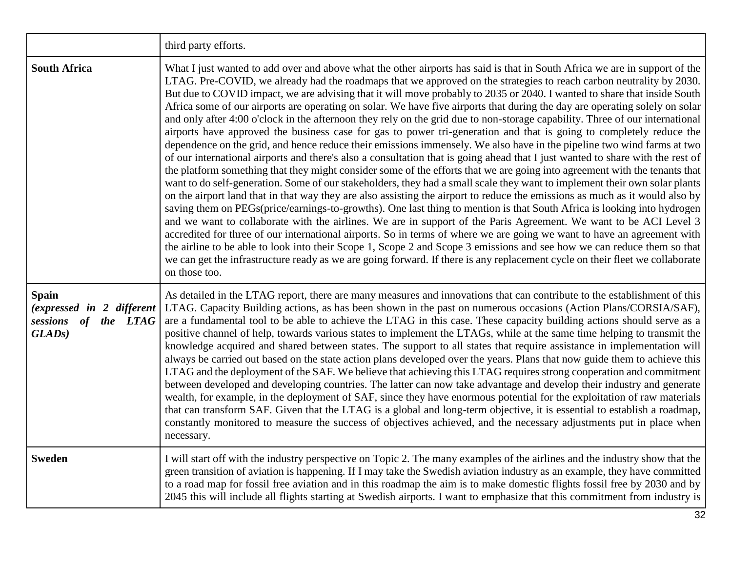|                                                                                          | third party efforts.                                                                                                                                                                                                                                                                                                                                                                                                                                                                                                                                                                                                                                                                                                                                                                                                                                                                                                                                                                                                                                                                                                                                                                                                                                                                                                                                                                                                                                                                                                                                                                                                                                                                                                                                                                                                                                                                                                                                                                                                                                                               |
|------------------------------------------------------------------------------------------|------------------------------------------------------------------------------------------------------------------------------------------------------------------------------------------------------------------------------------------------------------------------------------------------------------------------------------------------------------------------------------------------------------------------------------------------------------------------------------------------------------------------------------------------------------------------------------------------------------------------------------------------------------------------------------------------------------------------------------------------------------------------------------------------------------------------------------------------------------------------------------------------------------------------------------------------------------------------------------------------------------------------------------------------------------------------------------------------------------------------------------------------------------------------------------------------------------------------------------------------------------------------------------------------------------------------------------------------------------------------------------------------------------------------------------------------------------------------------------------------------------------------------------------------------------------------------------------------------------------------------------------------------------------------------------------------------------------------------------------------------------------------------------------------------------------------------------------------------------------------------------------------------------------------------------------------------------------------------------------------------------------------------------------------------------------------------------|
| <b>South Africa</b>                                                                      | What I just wanted to add over and above what the other airports has said is that in South Africa we are in support of the<br>LTAG. Pre-COVID, we already had the roadmaps that we approved on the strategies to reach carbon neutrality by 2030.<br>But due to COVID impact, we are advising that it will move probably to 2035 or 2040. I wanted to share that inside South<br>Africa some of our airports are operating on solar. We have five airports that during the day are operating solely on solar<br>and only after 4:00 o'clock in the afternoon they rely on the grid due to non-storage capability. Three of our international<br>airports have approved the business case for gas to power tri-generation and that is going to completely reduce the<br>dependence on the grid, and hence reduce their emissions immensely. We also have in the pipeline two wind farms at two<br>of our international airports and there's also a consultation that is going ahead that I just wanted to share with the rest of<br>the platform something that they might consider some of the efforts that we are going into agreement with the tenants that<br>want to do self-generation. Some of our stakeholders, they had a small scale they want to implement their own solar plants<br>on the airport land that in that way they are also assisting the airport to reduce the emissions as much as it would also by<br>saving them on PEGs(price/earnings-to-growths). One last thing to mention is that South Africa is looking into hydrogen<br>and we want to collaborate with the airlines. We are in support of the Paris Agreement. We want to be ACI Level 3<br>accredited for three of our international airports. So in terms of where we are going we want to have an agreement with<br>the airline to be able to look into their Scope 1, Scope 2 and Scope 3 emissions and see how we can reduce them so that<br>we can get the infrastructure ready as we are going forward. If there is any replacement cycle on their fleet we collaborate<br>on those too. |
| <b>Spain</b><br>(expressed in 2 different<br>sessions of the LTAG<br>GLAD <sub>s</sub> ) | As detailed in the LTAG report, there are many measures and innovations that can contribute to the establishment of this<br>LTAG. Capacity Building actions, as has been shown in the past on numerous occasions (Action Plans/CORSIA/SAF),<br>are a fundamental tool to be able to achieve the LTAG in this case. These capacity building actions should serve as a<br>positive channel of help, towards various states to implement the LTAGs, while at the same time helping to transmit the<br>knowledge acquired and shared between states. The support to all states that require assistance in implementation will<br>always be carried out based on the state action plans developed over the years. Plans that now guide them to achieve this<br>LTAG and the deployment of the SAF. We believe that achieving this LTAG requires strong cooperation and commitment<br>between developed and developing countries. The latter can now take advantage and develop their industry and generate<br>wealth, for example, in the deployment of SAF, since they have enormous potential for the exploitation of raw materials<br>that can transform SAF. Given that the LTAG is a global and long-term objective, it is essential to establish a roadmap,<br>constantly monitored to measure the success of objectives achieved, and the necessary adjustments put in place when<br>necessary.                                                                                                                                                                                                                                                                                                                                                                                                                                                                                                                                                                                                                                                                                  |
| <b>Sweden</b>                                                                            | I will start off with the industry perspective on Topic 2. The many examples of the airlines and the industry show that the<br>green transition of aviation is happening. If I may take the Swedish aviation industry as an example, they have committed<br>to a road map for fossil free aviation and in this roadmap the aim is to make domestic flights fossil free by 2030 and by<br>2045 this will include all flights starting at Swedish airports. I want to emphasize that this commitment from industry is                                                                                                                                                                                                                                                                                                                                                                                                                                                                                                                                                                                                                                                                                                                                                                                                                                                                                                                                                                                                                                                                                                                                                                                                                                                                                                                                                                                                                                                                                                                                                                |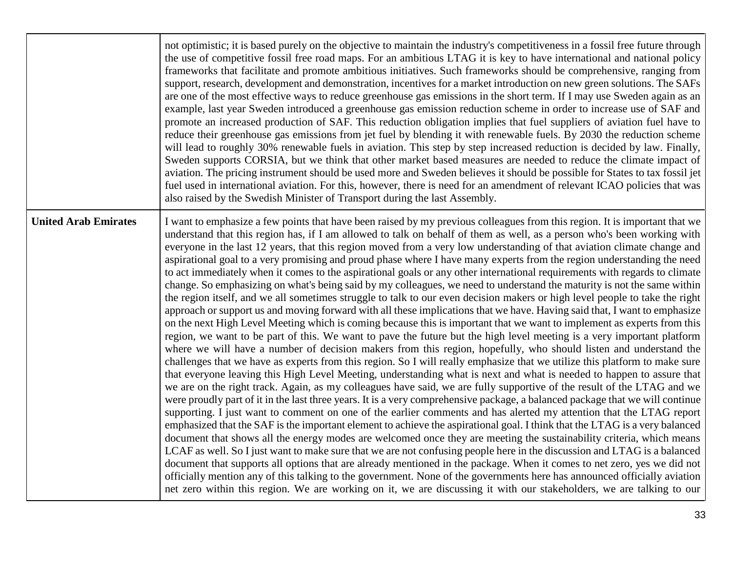|                             | not optimistic; it is based purely on the objective to maintain the industry's competitiveness in a fossil free future through<br>the use of competitive fossil free road maps. For an ambitious LTAG it is key to have international and national policy<br>frameworks that facilitate and promote ambitious initiatives. Such frameworks should be comprehensive, ranging from<br>support, research, development and demonstration, incentives for a market introduction on new green solutions. The SAFs<br>are one of the most effective ways to reduce greenhouse gas emissions in the short term. If I may use Sweden again as an<br>example, last year Sweden introduced a greenhouse gas emission reduction scheme in order to increase use of SAF and<br>promote an increased production of SAF. This reduction obligation implies that fuel suppliers of aviation fuel have to<br>reduce their greenhouse gas emissions from jet fuel by blending it with renewable fuels. By 2030 the reduction scheme<br>will lead to roughly 30% renewable fuels in aviation. This step by step increased reduction is decided by law. Finally,<br>Sweden supports CORSIA, but we think that other market based measures are needed to reduce the climate impact of<br>aviation. The pricing instrument should be used more and Sweden believes it should be possible for States to tax fossil jet<br>fuel used in international aviation. For this, however, there is need for an amendment of relevant ICAO policies that was<br>also raised by the Swedish Minister of Transport during the last Assembly.                                                                                                                                                                                                                                                                                                                                                                                                                                                                                                                                                                                                                                                                                                                                                                                                                                                                                                                                                                                                                                                                                                                                                                                                          |
|-----------------------------|---------------------------------------------------------------------------------------------------------------------------------------------------------------------------------------------------------------------------------------------------------------------------------------------------------------------------------------------------------------------------------------------------------------------------------------------------------------------------------------------------------------------------------------------------------------------------------------------------------------------------------------------------------------------------------------------------------------------------------------------------------------------------------------------------------------------------------------------------------------------------------------------------------------------------------------------------------------------------------------------------------------------------------------------------------------------------------------------------------------------------------------------------------------------------------------------------------------------------------------------------------------------------------------------------------------------------------------------------------------------------------------------------------------------------------------------------------------------------------------------------------------------------------------------------------------------------------------------------------------------------------------------------------------------------------------------------------------------------------------------------------------------------------------------------------------------------------------------------------------------------------------------------------------------------------------------------------------------------------------------------------------------------------------------------------------------------------------------------------------------------------------------------------------------------------------------------------------------------------------------------------------------------------------------------------------------------------------------------------------------------------------------------------------------------------------------------------------------------------------------------------------------------------------------------------------------------------------------------------------------------------------------------------------------------------------------------------------------------------------------------------------------------------------------------------------------|
| <b>United Arab Emirates</b> | I want to emphasize a few points that have been raised by my previous colleagues from this region. It is important that we<br>understand that this region has, if I am allowed to talk on behalf of them as well, as a person who's been working with<br>everyone in the last 12 years, that this region moved from a very low understanding of that aviation climate change and<br>aspirational goal to a very promising and proud phase where I have many experts from the region understanding the need<br>to act immediately when it comes to the aspirational goals or any other international requirements with regards to climate<br>change. So emphasizing on what's being said by my colleagues, we need to understand the maturity is not the same within<br>the region itself, and we all sometimes struggle to talk to our even decision makers or high level people to take the right<br>approach or support us and moving forward with all these implications that we have. Having said that, I want to emphasize<br>on the next High Level Meeting which is coming because this is important that we want to implement as experts from this<br>region, we want to be part of this. We want to pave the future but the high level meeting is a very important platform<br>where we will have a number of decision makers from this region, hopefully, who should listen and understand the<br>challenges that we have as experts from this region. So I will really emphasize that we utilize this platform to make sure<br>that everyone leaving this High Level Meeting, understanding what is next and what is needed to happen to assure that<br>we are on the right track. Again, as my colleagues have said, we are fully supportive of the result of the LTAG and we<br>were proudly part of it in the last three years. It is a very comprehensive package, a balanced package that we will continue<br>supporting. I just want to comment on one of the earlier comments and has alerted my attention that the LTAG report<br>emphasized that the SAF is the important element to achieve the aspirational goal. I think that the LTAG is a very balanced<br>document that shows all the energy modes are welcomed once they are meeting the sustainability criteria, which means<br>LCAF as well. So I just want to make sure that we are not confusing people here in the discussion and LTAG is a balanced<br>document that supports all options that are already mentioned in the package. When it comes to net zero, yes we did not<br>officially mention any of this talking to the government. None of the governments here has announced officially aviation<br>net zero within this region. We are working on it, we are discussing it with our stakeholders, we are talking to our |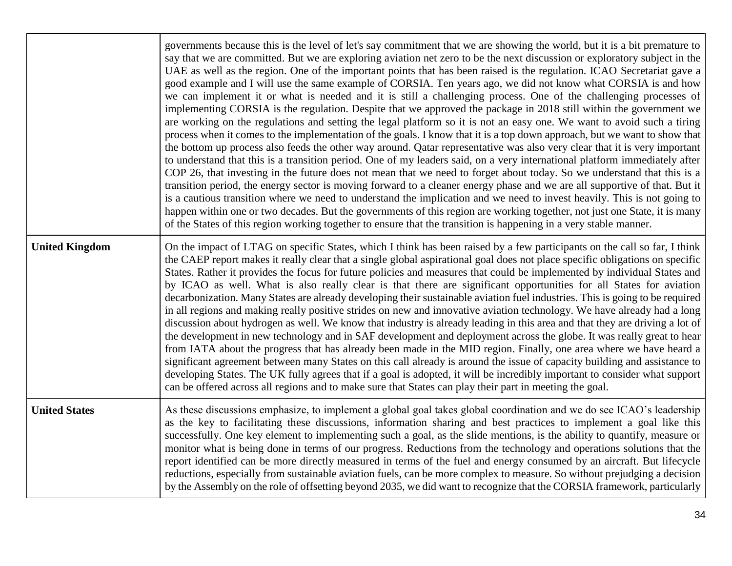|                       | governments because this is the level of let's say commitment that we are showing the world, but it is a bit premature to<br>say that we are committed. But we are exploring aviation net zero to be the next discussion or exploratory subject in the<br>UAE as well as the region. One of the important points that has been raised is the regulation. ICAO Secretariat gave a<br>good example and I will use the same example of CORSIA. Ten years ago, we did not know what CORSIA is and how<br>we can implement it or what is needed and it is still a challenging process. One of the challenging processes of<br>implementing CORSIA is the regulation. Despite that we approved the package in 2018 still within the government we<br>are working on the regulations and setting the legal platform so it is not an easy one. We want to avoid such a tiring<br>process when it comes to the implementation of the goals. I know that it is a top down approach, but we want to show that<br>the bottom up process also feeds the other way around. Qatar representative was also very clear that it is very important<br>to understand that this is a transition period. One of my leaders said, on a very international platform immediately after<br>COP 26, that investing in the future does not mean that we need to forget about today. So we understand that this is a<br>transition period, the energy sector is moving forward to a cleaner energy phase and we are all supportive of that. But it<br>is a cautious transition where we need to understand the implication and we need to invest heavily. This is not going to<br>happen within one or two decades. But the governments of this region are working together, not just one State, it is many<br>of the States of this region working together to ensure that the transition is happening in a very stable manner. |
|-----------------------|-----------------------------------------------------------------------------------------------------------------------------------------------------------------------------------------------------------------------------------------------------------------------------------------------------------------------------------------------------------------------------------------------------------------------------------------------------------------------------------------------------------------------------------------------------------------------------------------------------------------------------------------------------------------------------------------------------------------------------------------------------------------------------------------------------------------------------------------------------------------------------------------------------------------------------------------------------------------------------------------------------------------------------------------------------------------------------------------------------------------------------------------------------------------------------------------------------------------------------------------------------------------------------------------------------------------------------------------------------------------------------------------------------------------------------------------------------------------------------------------------------------------------------------------------------------------------------------------------------------------------------------------------------------------------------------------------------------------------------------------------------------------------------------------------------------------------------------------------------------------------------------------------------|
| <b>United Kingdom</b> | On the impact of LTAG on specific States, which I think has been raised by a few participants on the call so far, I think<br>the CAEP report makes it really clear that a single global aspirational goal does not place specific obligations on specific<br>States. Rather it provides the focus for future policies and measures that could be implemented by individual States and<br>by ICAO as well. What is also really clear is that there are significant opportunities for all States for aviation<br>decarbonization. Many States are already developing their sustainable aviation fuel industries. This is going to be required<br>in all regions and making really positive strides on new and innovative aviation technology. We have already had a long<br>discussion about hydrogen as well. We know that industry is already leading in this area and that they are driving a lot of<br>the development in new technology and in SAF development and deployment across the globe. It was really great to hear<br>from IATA about the progress that has already been made in the MID region. Finally, one area where we have heard a<br>significant agreement between many States on this call already is around the issue of capacity building and assistance to<br>developing States. The UK fully agrees that if a goal is adopted, it will be incredibly important to consider what support<br>can be offered across all regions and to make sure that States can play their part in meeting the goal.                                                                                                                                                                                                                                                                                                                                                                          |
| <b>United States</b>  | As these discussions emphasize, to implement a global goal takes global coordination and we do see ICAO's leadership<br>as the key to facilitating these discussions, information sharing and best practices to implement a goal like this<br>successfully. One key element to implementing such a goal, as the slide mentions, is the ability to quantify, measure or<br>monitor what is being done in terms of our progress. Reductions from the technology and operations solutions that the<br>report identified can be more directly measured in terms of the fuel and energy consumed by an aircraft. But lifecycle<br>reductions, especially from sustainable aviation fuels, can be more complex to measure. So without prejudging a decision<br>by the Assembly on the role of offsetting beyond 2035, we did want to recognize that the CORSIA framework, particularly                                                                                                                                                                                                                                                                                                                                                                                                                                                                                                                                                                                                                                                                                                                                                                                                                                                                                                                                                                                                                    |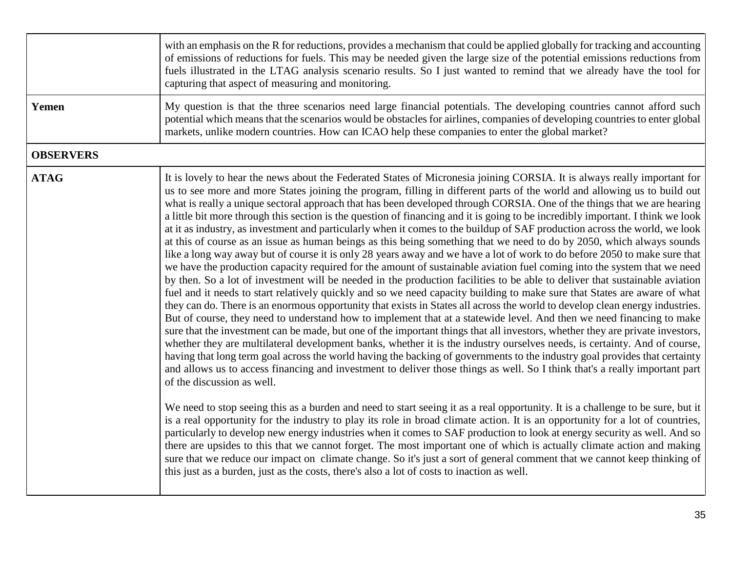|                  | with an emphasis on the R for reductions, provides a mechanism that could be applied globally for tracking and accounting<br>of emissions of reductions for fuels. This may be needed given the large size of the potential emissions reductions from<br>fuels illustrated in the LTAG analysis scenario results. So I just wanted to remind that we already have the tool for<br>capturing that aspect of measuring and monitoring.                                                                                                                                                                                                                                                                                                                                                                                                                                                                                                                                                                                                                                                                                                                                                                                                                                                                                                                                                                                                                                                                                                                                                                                                                                                                                                                                                                                                                                                                                                                                                                                                                                                                                                                                                                                                                                                                                                                                                                                                                                                                                                                                                                                                                                                                                                                                                                                                                                 |
|------------------|----------------------------------------------------------------------------------------------------------------------------------------------------------------------------------------------------------------------------------------------------------------------------------------------------------------------------------------------------------------------------------------------------------------------------------------------------------------------------------------------------------------------------------------------------------------------------------------------------------------------------------------------------------------------------------------------------------------------------------------------------------------------------------------------------------------------------------------------------------------------------------------------------------------------------------------------------------------------------------------------------------------------------------------------------------------------------------------------------------------------------------------------------------------------------------------------------------------------------------------------------------------------------------------------------------------------------------------------------------------------------------------------------------------------------------------------------------------------------------------------------------------------------------------------------------------------------------------------------------------------------------------------------------------------------------------------------------------------------------------------------------------------------------------------------------------------------------------------------------------------------------------------------------------------------------------------------------------------------------------------------------------------------------------------------------------------------------------------------------------------------------------------------------------------------------------------------------------------------------------------------------------------------------------------------------------------------------------------------------------------------------------------------------------------------------------------------------------------------------------------------------------------------------------------------------------------------------------------------------------------------------------------------------------------------------------------------------------------------------------------------------------------------------------------------------------------------------------------------------------------|
| Yemen            | My question is that the three scenarios need large financial potentials. The developing countries cannot afford such<br>potential which means that the scenarios would be obstacles for airlines, companies of developing countries to enter global<br>markets, unlike modern countries. How can ICAO help these companies to enter the global market?                                                                                                                                                                                                                                                                                                                                                                                                                                                                                                                                                                                                                                                                                                                                                                                                                                                                                                                                                                                                                                                                                                                                                                                                                                                                                                                                                                                                                                                                                                                                                                                                                                                                                                                                                                                                                                                                                                                                                                                                                                                                                                                                                                                                                                                                                                                                                                                                                                                                                                               |
| <b>OBSERVERS</b> |                                                                                                                                                                                                                                                                                                                                                                                                                                                                                                                                                                                                                                                                                                                                                                                                                                                                                                                                                                                                                                                                                                                                                                                                                                                                                                                                                                                                                                                                                                                                                                                                                                                                                                                                                                                                                                                                                                                                                                                                                                                                                                                                                                                                                                                                                                                                                                                                                                                                                                                                                                                                                                                                                                                                                                                                                                                                      |
| <b>ATAG</b>      | It is lovely to hear the news about the Federated States of Micronesia joining CORSIA. It is always really important for<br>us to see more and more States joining the program, filling in different parts of the world and allowing us to build out<br>what is really a unique sectoral approach that has been developed through CORSIA. One of the things that we are hearing<br>a little bit more through this section is the question of financing and it is going to be incredibly important. I think we look<br>at it as industry, as investment and particularly when it comes to the buildup of SAF production across the world, we look<br>at this of course as an issue as human beings as this being something that we need to do by 2050, which always sounds<br>like a long way away but of course it is only 28 years away and we have a lot of work to do before 2050 to make sure that<br>we have the production capacity required for the amount of sustainable aviation fuel coming into the system that we need<br>by then. So a lot of investment will be needed in the production facilities to be able to deliver that sustainable aviation<br>fuel and it needs to start relatively quickly and so we need capacity building to make sure that States are aware of what<br>they can do. There is an enormous opportunity that exists in States all across the world to develop clean energy industries.<br>But of course, they need to understand how to implement that at a statewide level. And then we need financing to make<br>sure that the investment can be made, but one of the important things that all investors, whether they are private investors,<br>whether they are multilateral development banks, whether it is the industry ourselves needs, is certainty. And of course,<br>having that long term goal across the world having the backing of governments to the industry goal provides that certainty<br>and allows us to access financing and investment to deliver those things as well. So I think that's a really important part<br>of the discussion as well.<br>We need to stop seeing this as a burden and need to start seeing it as a real opportunity. It is a challenge to be sure, but it<br>is a real opportunity for the industry to play its role in broad climate action. It is an opportunity for a lot of countries,<br>particularly to develop new energy industries when it comes to SAF production to look at energy security as well. And so<br>there are upsides to this that we cannot forget. The most important one of which is actually climate action and making<br>sure that we reduce our impact on climate change. So it's just a sort of general comment that we cannot keep thinking of<br>this just as a burden, just as the costs, there's also a lot of costs to inaction as well. |
|                  |                                                                                                                                                                                                                                                                                                                                                                                                                                                                                                                                                                                                                                                                                                                                                                                                                                                                                                                                                                                                                                                                                                                                                                                                                                                                                                                                                                                                                                                                                                                                                                                                                                                                                                                                                                                                                                                                                                                                                                                                                                                                                                                                                                                                                                                                                                                                                                                                                                                                                                                                                                                                                                                                                                                                                                                                                                                                      |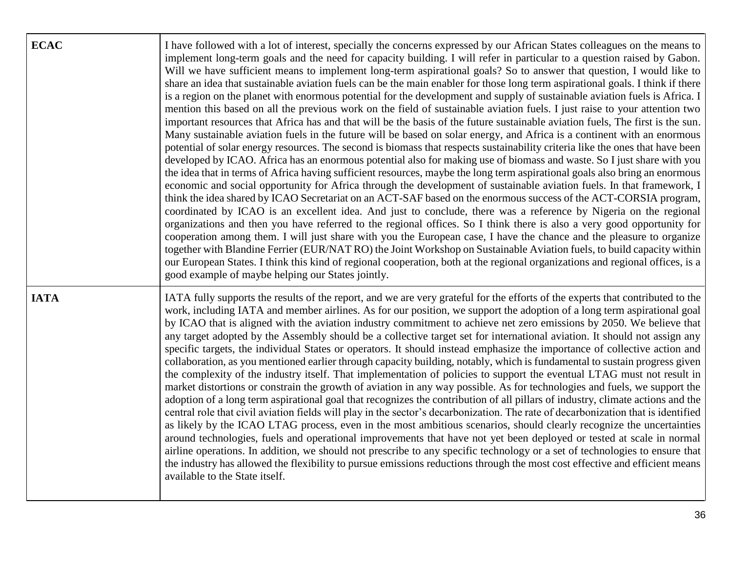| <b>ECAC</b> | I have followed with a lot of interest, specially the concerns expressed by our African States colleagues on the means to<br>implement long-term goals and the need for capacity building. I will refer in particular to a question raised by Gabon.<br>Will we have sufficient means to implement long-term aspirational goals? So to answer that question, I would like to<br>share an idea that sustainable aviation fuels can be the main enabler for those long term aspirational goals. I think if there<br>is a region on the planet with enormous potential for the development and supply of sustainable aviation fuels is Africa. I<br>mention this based on all the previous work on the field of sustainable aviation fuels. I just raise to your attention two<br>important resources that Africa has and that will be the basis of the future sustainable aviation fuels, The first is the sun.<br>Many sustainable aviation fuels in the future will be based on solar energy, and Africa is a continent with an enormous<br>potential of solar energy resources. The second is biomass that respects sustainability criteria like the ones that have been<br>developed by ICAO. Africa has an enormous potential also for making use of biomass and waste. So I just share with you<br>the idea that in terms of Africa having sufficient resources, maybe the long term aspirational goals also bring an enormous<br>economic and social opportunity for Africa through the development of sustainable aviation fuels. In that framework, I<br>think the idea shared by ICAO Secretariat on an ACT-SAF based on the enormous success of the ACT-CORSIA program,<br>coordinated by ICAO is an excellent idea. And just to conclude, there was a reference by Nigeria on the regional<br>organizations and then you have referred to the regional offices. So I think there is also a very good opportunity for<br>cooperation among them. I will just share with you the European case, I have the chance and the pleasure to organize<br>together with Blandine Ferrier (EUR/NAT RO) the Joint Workshop on Sustainable Aviation fuels, to build capacity within<br>our European States. I think this kind of regional cooperation, both at the regional organizations and regional offices, is a<br>good example of maybe helping our States jointly. |
|-------------|------------------------------------------------------------------------------------------------------------------------------------------------------------------------------------------------------------------------------------------------------------------------------------------------------------------------------------------------------------------------------------------------------------------------------------------------------------------------------------------------------------------------------------------------------------------------------------------------------------------------------------------------------------------------------------------------------------------------------------------------------------------------------------------------------------------------------------------------------------------------------------------------------------------------------------------------------------------------------------------------------------------------------------------------------------------------------------------------------------------------------------------------------------------------------------------------------------------------------------------------------------------------------------------------------------------------------------------------------------------------------------------------------------------------------------------------------------------------------------------------------------------------------------------------------------------------------------------------------------------------------------------------------------------------------------------------------------------------------------------------------------------------------------------------------------------------------------------------------------------------------------------------------------------------------------------------------------------------------------------------------------------------------------------------------------------------------------------------------------------------------------------------------------------------------------------------------------------------------------------------------------------------------------------------------------------------------------------------------------------------|
| <b>IATA</b> | IATA fully supports the results of the report, and we are very grateful for the efforts of the experts that contributed to the<br>work, including IATA and member airlines. As for our position, we support the adoption of a long term aspirational goal<br>by ICAO that is aligned with the aviation industry commitment to achieve net zero emissions by 2050. We believe that<br>any target adopted by the Assembly should be a collective target set for international aviation. It should not assign any<br>specific targets, the individual States or operators. It should instead emphasize the importance of collective action and<br>collaboration, as you mentioned earlier through capacity building, notably, which is fundamental to sustain progress given<br>the complexity of the industry itself. That implementation of policies to support the eventual LTAG must not result in<br>market distortions or constrain the growth of aviation in any way possible. As for technologies and fuels, we support the<br>adoption of a long term aspirational goal that recognizes the contribution of all pillars of industry, climate actions and the<br>central role that civil aviation fields will play in the sector's decarbonization. The rate of decarbonization that is identified<br>as likely by the ICAO LTAG process, even in the most ambitious scenarios, should clearly recognize the uncertainties<br>around technologies, fuels and operational improvements that have not yet been deployed or tested at scale in normal<br>airline operations. In addition, we should not prescribe to any specific technology or a set of technologies to ensure that<br>the industry has allowed the flexibility to pursue emissions reductions through the most cost effective and efficient means<br>available to the State itself.                                                                                                                                                                                                                                                                                                                                                                                                                                                                                                                |